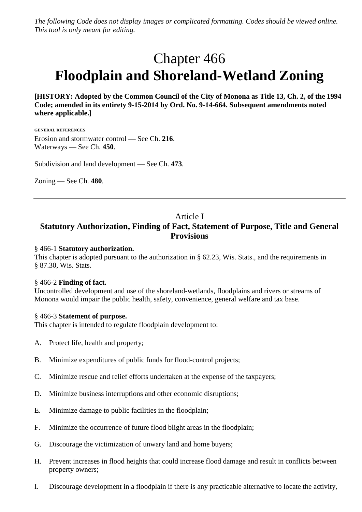*The following Code does not display images or complicated formatting. Codes should be viewed online. This tool is only meant for editing.*

# Chapter 466 **Floodplain and Shoreland-Wetland Zoning**

**[HISTORY: Adopted by the Common Council of the City of Monona as Title 13, Ch. 2, of the 1994 Code; amended in its entirety 9-15-2014 by Ord. No. 9-14-664. Subsequent amendments noted where applicable.]**

**GENERAL REFERENCES** Erosion and stormwater control — See Ch. **216**. Waterways — See Ch. **450**.

Subdivision and land development — See Ch. **473**.

Zoning — See Ch. **480**.

# Article I

# **Statutory Authorization, Finding of Fact, Statement of Purpose, Title and General Provisions**

### § 466-1 **Statutory authorization.**

This chapter is adopted pursuant to the authorization in § 62.23, Wis. Stats., and the requirements in § 87.30, Wis. Stats.

#### § 466-2 **Finding of fact.**

Uncontrolled development and use of the shoreland-wetlands, floodplains and rivers or streams of Monona would impair the public health, safety, convenience, general welfare and tax base.

#### § 466-3 **Statement of purpose.**

This chapter is intended to regulate floodplain development to:

- A. Protect life, health and property;
- B. Minimize expenditures of public funds for flood-control projects;
- C. Minimize rescue and relief efforts undertaken at the expense of the taxpayers;
- D. Minimize business interruptions and other economic disruptions;
- E. Minimize damage to public facilities in the floodplain;
- F. Minimize the occurrence of future flood blight areas in the floodplain;
- G. Discourage the victimization of unwary land and home buyers;
- H. Prevent increases in flood heights that could increase flood damage and result in conflicts between property owners;
- I. Discourage development in a floodplain if there is any practicable alternative to locate the activity,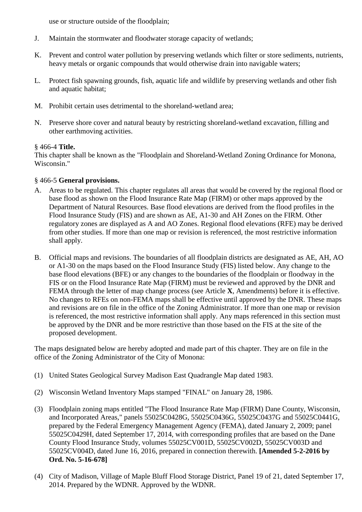use or structure outside of the floodplain;

- J. Maintain the stormwater and floodwater storage capacity of wetlands;
- K. Prevent and control water pollution by preserving wetlands which filter or store sediments, nutrients, heavy metals or organic compounds that would otherwise drain into navigable waters;
- L. Protect fish spawning grounds, fish, aquatic life and wildlife by preserving wetlands and other fish and aquatic habitat;
- M. Prohibit certain uses detrimental to the shoreland-wetland area;
- N. Preserve shore cover and natural beauty by restricting shoreland-wetland excavation, filling and other earthmoving activities.

### § 466-4 **Title.**

This chapter shall be known as the "Floodplain and Shoreland-Wetland Zoning Ordinance for Monona, Wisconsin."

# § 466-5 **General provisions.**

- A. Areas to be regulated. This chapter regulates all areas that would be covered by the regional flood or base flood as shown on the Flood Insurance Rate Map (FIRM) or other maps approved by the Department of Natural Resources. Base flood elevations are derived from the flood profiles in the Flood Insurance Study (FIS) and are shown as AE, A1-30 and AH Zones on the FIRM. Other regulatory zones are displayed as A and AO Zones. Regional flood elevations (RFE) may be derived from other studies. If more than one map or revision is referenced, the most restrictive information shall apply.
- B. Official maps and revisions. The boundaries of all floodplain districts are designated as AE, AH, AO or A1-30 on the maps based on the Flood Insurance Study (FIS) listed below. Any change to the base flood elevations (BFE) or any changes to the boundaries of the floodplain or floodway in the FIS or on the Flood Insurance Rate Map (FIRM) must be reviewed and approved by the DNR and FEMA through the letter of map change process (see Article **X**, Amendments) before it is effective. No changes to RFEs on non-FEMA maps shall be effective until approved by the DNR. These maps and revisions are on file in the office of the Zoning Administrator. If more than one map or revision is referenced, the most restrictive information shall apply. Any maps referenced in this section must be approved by the DNR and be more restrictive than those based on the FIS at the site of the proposed development.

The maps designated below are hereby adopted and made part of this chapter. They are on file in the office of the Zoning Administrator of the City of Monona:

- (1) United States Geological Survey Madison East Quadrangle Map dated 1983.
- (2) Wisconsin Wetland Inventory Maps stamped "FINAL" on January 28, 1986.
- (3) Floodplain zoning maps entitled "The Flood Insurance Rate Map (FIRM) Dane County, Wisconsin, and Incorporated Areas," panels 55025C0428G, 55025C0436G, 55025C0437G and 55025C0441G, prepared by the Federal Emergency Management Agency (FEMA), dated January 2, 2009; panel 55025C0429H, dated September 17, 2014, with corresponding profiles that are based on the Dane County Flood Insurance Study, volumes 55025CV001D, 55025CV002D, 55025CV003D and 55025CV004D, dated June 16, 2016, prepared in connection therewith. **[Amended 5-2-2016 by Ord. No. 5-16-678]**
- (4) City of Madison, Village of Maple Bluff Flood Storage District, Panel 19 of 21, dated September 17, 2014. Prepared by the WDNR. Approved by the WDNR.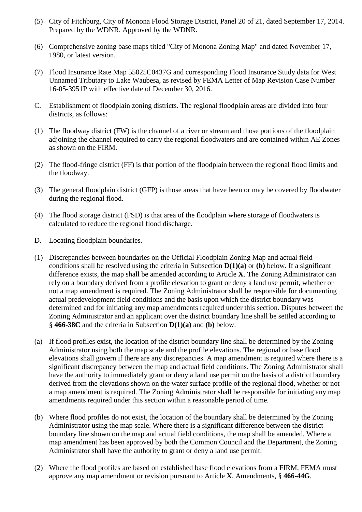- (5) City of Fitchburg, City of Monona Flood Storage District, Panel 20 of 21, dated September 17, 2014. Prepared by the WDNR. Approved by the WDNR.
- (6) Comprehensive zoning base maps titled "City of Monona Zoning Map" and dated November 17, 1980, or latest version.
- (7) Flood Insurance Rate Map 55025C0437G and corresponding Flood Insurance Study data for West Unnamed Tributary to Lake Waubesa, as revised by FEMA Letter of Map Revision Case Number 16-05-3951P with effective date of December 30, 2016.
- C. Establishment of floodplain zoning districts. The regional floodplain areas are divided into four districts, as follows:
- (1) The floodway district (FW) is the channel of a river or stream and those portions of the floodplain adjoining the channel required to carry the regional floodwaters and are contained within AE Zones as shown on the FIRM.
- (2) The flood-fringe district (FF) is that portion of the floodplain between the regional flood limits and the floodway.
- (3) The general floodplain district (GFP) is those areas that have been or may be covered by floodwater during the regional flood.
- (4) The flood storage district (FSD) is that area of the floodplain where storage of floodwaters is calculated to reduce the regional flood discharge.
- D. Locating floodplain boundaries.
- (1) Discrepancies between boundaries on the Official Floodplain Zoning Map and actual field conditions shall be resolved using the criteria in Subsection **D(1)(a)** or **(b)** below. If a significant difference exists, the map shall be amended according to Article **X**. The Zoning Administrator can rely on a boundary derived from a profile elevation to grant or deny a land use permit, whether or not a map amendment is required. The Zoning Administrator shall be responsible for documenting actual predevelopment field conditions and the basis upon which the district boundary was determined and for initiating any map amendments required under this section. Disputes between the Zoning Administrator and an applicant over the district boundary line shall be settled according to § **466-38C** and the criteria in Subsection **D(1)(a)** and **(b)** below.
- (a) If flood profiles exist, the location of the district boundary line shall be determined by the Zoning Administrator using both the map scale and the profile elevations. The regional or base flood elevations shall govern if there are any discrepancies. A map amendment is required where there is a significant discrepancy between the map and actual field conditions. The Zoning Administrator shall have the authority to immediately grant or deny a land use permit on the basis of a district boundary derived from the elevations shown on the water surface profile of the regional flood, whether or not a map amendment is required. The Zoning Administrator shall be responsible for initiating any map amendments required under this section within a reasonable period of time.
- (b) Where flood profiles do not exist, the location of the boundary shall be determined by the Zoning Administrator using the map scale. Where there is a significant difference between the district boundary line shown on the map and actual field conditions, the map shall be amended. Where a map amendment has been approved by both the Common Council and the Department, the Zoning Administrator shall have the authority to grant or deny a land use permit.
- (2) Where the flood profiles are based on established base flood elevations from a FIRM, FEMA must approve any map amendment or revision pursuant to Article **X**, Amendments, § **466-44G**.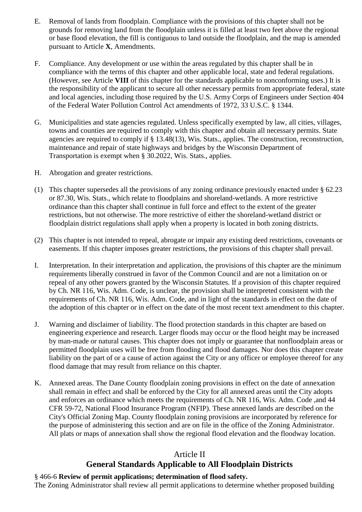- E. Removal of lands from floodplain. Compliance with the provisions of this chapter shall not be grounds for removing land from the floodplain unless it is filled at least two feet above the regional or base flood elevation, the fill is contiguous to land outside the floodplain, and the map is amended pursuant to Article **X**, Amendments.
- F. Compliance. Any development or use within the areas regulated by this chapter shall be in compliance with the terms of this chapter and other applicable local, state and federal regulations. (However, see Article **VIII** of this chapter for the standards applicable to nonconforming uses.) It is the responsibility of the applicant to secure all other necessary permits from appropriate federal, state and local agencies, including those required by the U.S. Army Corps of Engineers under Section 404 of the Federal Water Pollution Control Act amendments of 1972, 33 U.S.C. § 1344.
- G. Municipalities and state agencies regulated. Unless specifically exempted by law, all cities, villages, towns and counties are required to comply with this chapter and obtain all necessary permits. State agencies are required to comply if § 13.48(13), Wis. Stats., applies. The construction, reconstruction, maintenance and repair of state highways and bridges by the Wisconsin Department of Transportation is exempt when § 30.2022, Wis. Stats., applies.
- H. Abrogation and greater restrictions.
- (1) This chapter supersedes all the provisions of any zoning ordinance previously enacted under § 62.23 or 87.30, Wis. Stats., which relate to floodplains and shoreland-wetlands. A more restrictive ordinance than this chapter shall continue in full force and effect to the extent of the greater restrictions, but not otherwise. The more restrictive of either the shoreland-wetland district or floodplain district regulations shall apply when a property is located in both zoning districts.
- (2) This chapter is not intended to repeal, abrogate or impair any existing deed restrictions, covenants or easements. If this chapter imposes greater restrictions, the provisions of this chapter shall prevail.
- I. Interpretation. In their interpretation and application, the provisions of this chapter are the minimum requirements liberally construed in favor of the Common Council and are not a limitation on or repeal of any other powers granted by the Wisconsin Statutes. If a provision of this chapter required by Ch. NR 116, Wis. Adm. Code, is unclear, the provision shall be interpreted consistent with the requirements of Ch. NR 116, Wis. Adm. Code, and in light of the standards in effect on the date of the adoption of this chapter or in effect on the date of the most recent text amendment to this chapter.
- J. Warning and disclaimer of liability. The flood protection standards in this chapter are based on engineering experience and research. Larger floods may occur or the flood height may be increased by man-made or natural causes. This chapter does not imply or guarantee that nonfloodplain areas or permitted floodplain uses will be free from flooding and flood damages. Nor does this chapter create liability on the part of or a cause of action against the City or any officer or employee thereof for any flood damage that may result from reliance on this chapter.
- K. Annexed areas. The Dane County floodplain zoning provisions in effect on the date of annexation shall remain in effect and shall be enforced by the City for all annexed areas until the City adopts and enforces an ordinance which meets the requirements of Ch. NR 116, Wis. Adm. Code ,and 44 CFR 59-72, National Flood Insurance Program (NFIP). These annexed lands are described on the City's Official Zoning Map. County floodplain zoning provisions are incorporated by reference for the purpose of administering this section and are on file in the office of the Zoning Administrator. All plats or maps of annexation shall show the regional flood elevation and the floodway location.

# Article II

# **General Standards Applicable to All Floodplain Districts**

# § 466-6 **Review of permit applications; determination of flood safety.**

The Zoning Administrator shall review all permit applications to determine whether proposed building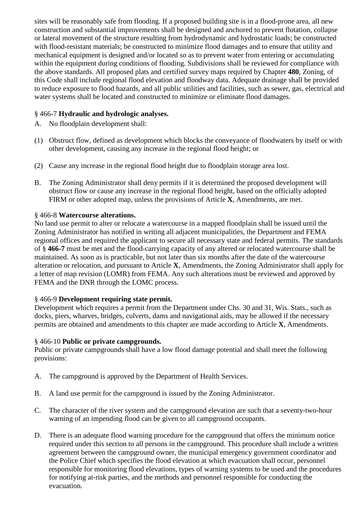sites will be reasonably safe from flooding. If a proposed building site is in a flood-prone area, all new construction and substantial improvements shall be designed and anchored to prevent flotation, collapse or lateral movement of the structure resulting from hydrodynamic and hydrostatic loads; be constructed with flood-resistant materials; be constructed to minimize flood damages and to ensure that utility and mechanical equipment is designed and/or located so as to prevent water from entering or accumulating within the equipment during conditions of flooding. Subdivisions shall be reviewed for compliance with the above standards. All proposed plats and certified survey maps required by Chapter **480**, Zoning, of this Code shall include regional flood elevation and floodway data. Adequate drainage shall be provided to reduce exposure to flood hazards, and all public utilities and facilities, such as sewer, gas, electrical and water systems shall be located and constructed to minimize or eliminate flood damages.

# § 466-7 **Hydraulic and hydrologic analyses.**

- A. No floodplain development shall:
- (1) Obstruct flow, defined as development which blocks the conveyance of floodwaters by itself or with other development, causing any increase in the regional flood height; or
- (2) Cause any increase in the regional flood height due to floodplain storage area lost.
- B. The Zoning Administrator shall deny permits if it is determined the proposed development will obstruct flow or cause any increase in the regional flood height, based on the officially adopted FIRM or other adopted map, unless the provisions of Article **X**, Amendments, are met.

# § 466-8 **Watercourse alterations.**

No land use permit to alter or relocate a watercourse in a mapped floodplain shall be issued until the Zoning Administrator has notified in writing all adjacent municipalities, the Department and FEMA regional offices and required the applicant to secure all necessary state and federal permits. The standards of § **466-7** must be met and the flood-carrying capacity of any altered or relocated watercourse shall be maintained. As soon as is practicable, but not later than six months after the date of the watercourse alteration or relocation, and pursuant to Article **X**, Amendments, the Zoning Administrator shall apply for a letter of map revision (LOMR) from FEMA. Any such alterations must be reviewed and approved by FEMA and the DNR through the LOMC process.

# § 466-9 **Development requiring state permit.**

Development which requires a permit from the Department under Chs. 30 and 31, Wis. Stats., such as docks, piers, wharves, bridges, culverts, dams and navigational aids, may be allowed if the necessary permits are obtained and amendments to this chapter are made according to Article **X**, Amendments.

#### § 466-10 **Public or private campgrounds.**

Public or private campgrounds shall have a low flood damage potential and shall meet the following provisions:

- A. The campground is approved by the Department of Health Services.
- B. A land use permit for the campground is issued by the Zoning Administrator.
- C. The character of the river system and the campground elevation are such that a seventy-two-hour warning of an impending flood can be given to all campground occupants.
- D. There is an adequate flood warning procedure for the campground that offers the minimum notice required under this section to all persons in the campground. This procedure shall include a written agreement between the campground owner, the municipal emergency government coordinator and the Police Chief which specifies the flood elevation at which evacuation shall occur, personnel responsible for monitoring flood elevations, types of warning systems to be used and the procedures for notifying at-risk parties, and the methods and personnel responsible for conducting the evacuation.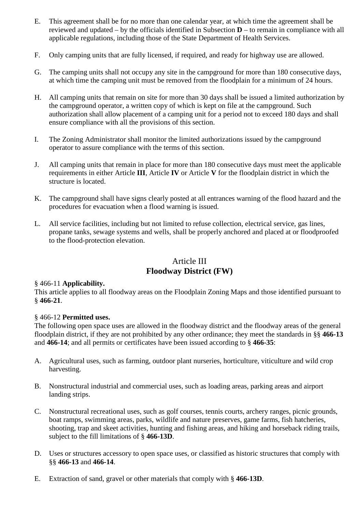- E. This agreement shall be for no more than one calendar year, at which time the agreement shall be reviewed and updated – by the officials identified in Subsection **D** – to remain in compliance with all applicable regulations, including those of the State Department of Health Services.
- F. Only camping units that are fully licensed, if required, and ready for highway use are allowed.
- G. The camping units shall not occupy any site in the campground for more than 180 consecutive days, at which time the camping unit must be removed from the floodplain for a minimum of 24 hours.
- H. All camping units that remain on site for more than 30 days shall be issued a limited authorization by the campground operator, a written copy of which is kept on file at the campground. Such authorization shall allow placement of a camping unit for a period not to exceed 180 days and shall ensure compliance with all the provisions of this section.
- I. The Zoning Administrator shall monitor the limited authorizations issued by the campground operator to assure compliance with the terms of this section.
- J. All camping units that remain in place for more than 180 consecutive days must meet the applicable requirements in either Article **III**, Article **IV** or Article **V** for the floodplain district in which the structure is located.
- K. The campground shall have signs clearly posted at all entrances warning of the flood hazard and the procedures for evacuation when a flood warning is issued.
- L. All service facilities, including but not limited to refuse collection, electrical service, gas lines, propane tanks, sewage systems and wells, shall be properly anchored and placed at or floodproofed to the flood-protection elevation.

# Article III **Floodway District (FW)**

# § 466-11 **Applicability.**

This article applies to all floodway areas on the Floodplain Zoning Maps and those identified pursuant to § **466-21**.

#### § 466-12 **Permitted uses.**

The following open space uses are allowed in the floodway district and the floodway areas of the general floodplain district, if they are not prohibited by any other ordinance; they meet the standards in §§ **466-13** and **466-14**; and all permits or certificates have been issued according to § **466-35**:

- A. Agricultural uses, such as farming, outdoor plant nurseries, horticulture, viticulture and wild crop harvesting.
- B. Nonstructural industrial and commercial uses, such as loading areas, parking areas and airport landing strips.
- C. Nonstructural recreational uses, such as golf courses, tennis courts, archery ranges, picnic grounds, boat ramps, swimming areas, parks, wildlife and nature preserves, game farms, fish hatcheries, shooting, trap and skeet activities, hunting and fishing areas, and hiking and horseback riding trails, subject to the fill limitations of § **466-13D**.
- D. Uses or structures accessory to open space uses, or classified as historic structures that comply with §§ **466-13** and **466-14**.
- E. Extraction of sand, gravel or other materials that comply with § **466-13D**.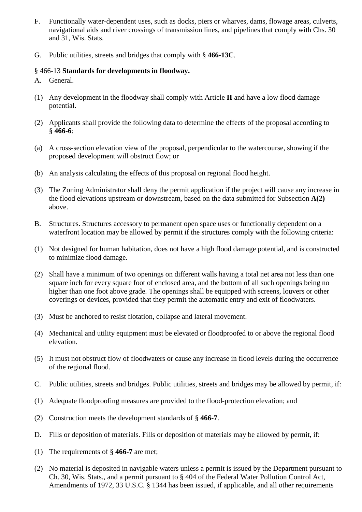- F. Functionally water-dependent uses, such as docks, piers or wharves, dams, flowage areas, culverts, navigational aids and river crossings of transmission lines, and pipelines that comply with Chs. 30 and 31, Wis. Stats.
- G. Public utilities, streets and bridges that comply with § **466-13C**.

### § 466-13 **Standards for developments in floodway.**

- A. General.
- (1) Any development in the floodway shall comply with Article **II** and have a low flood damage potential.
- (2) Applicants shall provide the following data to determine the effects of the proposal according to § **466-6**:
- (a) A cross-section elevation view of the proposal, perpendicular to the watercourse, showing if the proposed development will obstruct flow; or
- (b) An analysis calculating the effects of this proposal on regional flood height.
- (3) The Zoning Administrator shall deny the permit application if the project will cause any increase in the flood elevations upstream or downstream, based on the data submitted for Subsection **A(2)** above.
- B. Structures. Structures accessory to permanent open space uses or functionally dependent on a waterfront location may be allowed by permit if the structures comply with the following criteria:
- (1) Not designed for human habitation, does not have a high flood damage potential, and is constructed to minimize flood damage.
- (2) Shall have a minimum of two openings on different walls having a total net area not less than one square inch for every square foot of enclosed area, and the bottom of all such openings being no higher than one foot above grade. The openings shall be equipped with screens, louvers or other coverings or devices, provided that they permit the automatic entry and exit of floodwaters.
- (3) Must be anchored to resist flotation, collapse and lateral movement.
- (4) Mechanical and utility equipment must be elevated or floodproofed to or above the regional flood elevation.
- (5) It must not obstruct flow of floodwaters or cause any increase in flood levels during the occurrence of the regional flood.
- C. Public utilities, streets and bridges. Public utilities, streets and bridges may be allowed by permit, if:
- (1) Adequate floodproofing measures are provided to the flood-protection elevation; and
- (2) Construction meets the development standards of § **466-7**.
- D. Fills or deposition of materials. Fills or deposition of materials may be allowed by permit, if:
- (1) The requirements of § **466-7** are met;
- (2) No material is deposited in navigable waters unless a permit is issued by the Department pursuant to Ch. 30, Wis. Stats., and a permit pursuant to § 404 of the Federal Water Pollution Control Act, Amendments of 1972, 33 U.S.C. § 1344 has been issued, if applicable, and all other requirements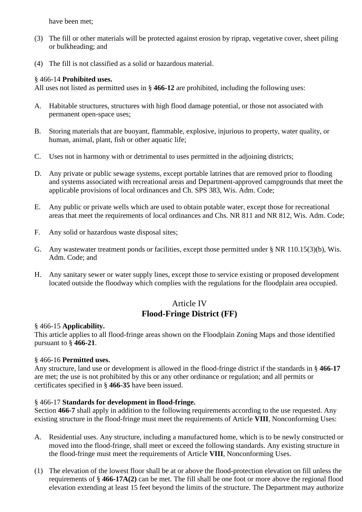have been met;

- (3) The fill or other materials will be protected against erosion by riprap, vegetative cover, sheet piling or bulkheading; and
- (4) The fill is not classified as a solid or hazardous material.

### § 466-14 **Prohibited uses.**

All uses not listed as permitted uses in § **466-12** are prohibited, including the following uses:

- A. Habitable structures, structures with high flood damage potential, or those not associated with permanent open-space uses;
- B. Storing materials that are buoyant, flammable, explosive, injurious to property, water quality, or human, animal, plant, fish or other aquatic life;
- C. Uses not in harmony with or detrimental to uses permitted in the adjoining districts;
- D. Any private or public sewage systems, except portable latrines that are removed prior to flooding and systems associated with recreational areas and Department-approved campgrounds that meet the applicable provisions of local ordinances and Ch. SPS 383, Wis. Adm. Code;
- E. Any public or private wells which are used to obtain potable water, except those for recreational areas that meet the requirements of local ordinances and Chs. NR 811 and NR 812, Wis. Adm. Code;
- F. Any solid or hazardous waste disposal sites;
- G. Any wastewater treatment ponds or facilities, except those permitted under § NR 110.15(3)(b), Wis. Adm. Code; and
- H. Any sanitary sewer or water supply lines, except those to service existing or proposed development located outside the floodway which complies with the regulations for the floodplain area occupied.

# Article IV **Flood-Fringe District (FF)**

#### § 466-15 **Applicability.**

This article applies to all flood-fringe areas shown on the Floodplain Zoning Maps and those identified pursuant to § **466-21**.

# § 466-16 **Permitted uses.**

Any structure, land use or development is allowed in the flood-fringe district if the standards in § **466-17** are met; the use is not prohibited by this or any other ordinance or regulation; and all permits or certificates specified in § **466-35** have been issued.

# § 466-17 **Standards for development in flood-fringe.**

Section **466-7** shall apply in addition to the following requirements according to the use requested. Any existing structure in the flood-fringe must meet the requirements of Article **VIII**, Nonconforming Uses:

- A. Residential uses. Any structure, including a manufactured home, which is to be newly constructed or moved into the flood-fringe, shall meet or exceed the following standards. Any existing structure in the flood-fringe must meet the requirements of Article **VIII**, Nonconforming Uses.
- (1) The elevation of the lowest floor shall be at or above the flood-protection elevation on fill unless the requirements of § **466-17A(2)** can be met. The fill shall be one foot or more above the regional flood elevation extending at least 15 feet beyond the limits of the structure. The Department may authorize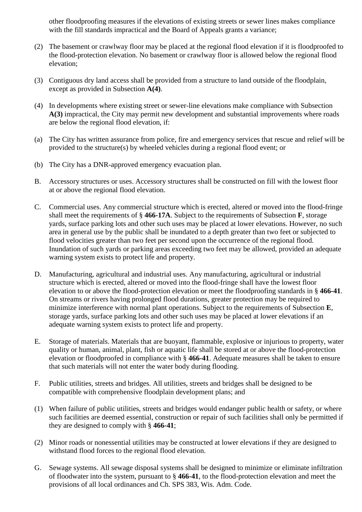other floodproofing measures if the elevations of existing streets or sewer lines makes compliance with the fill standards impractical and the Board of Appeals grants a variance;

- (2) The basement or crawlway floor may be placed at the regional flood elevation if it is floodproofed to the flood-protection elevation. No basement or crawlway floor is allowed below the regional flood elevation;
- (3) Contiguous dry land access shall be provided from a structure to land outside of the floodplain, except as provided in Subsection **A(4)**.
- (4) In developments where existing street or sewer-line elevations make compliance with Subsection **A(3)** impractical, the City may permit new development and substantial improvements where roads are below the regional flood elevation, if:
- (a) The City has written assurance from police, fire and emergency services that rescue and relief will be provided to the structure(s) by wheeled vehicles during a regional flood event; or
- (b) The City has a DNR-approved emergency evacuation plan.
- B. Accessory structures or uses. Accessory structures shall be constructed on fill with the lowest floor at or above the regional flood elevation.
- C. Commercial uses. Any commercial structure which is erected, altered or moved into the flood-fringe shall meet the requirements of § **466-17A**. Subject to the requirements of Subsection **F**, storage yards, surface parking lots and other such uses may be placed at lower elevations. However, no such area in general use by the public shall be inundated to a depth greater than two feet or subjected to flood velocities greater than two feet per second upon the occurrence of the regional flood. Inundation of such yards or parking areas exceeding two feet may be allowed, provided an adequate warning system exists to protect life and property.
- D. Manufacturing, agricultural and industrial uses. Any manufacturing, agricultural or industrial structure which is erected, altered or moved into the flood-fringe shall have the lowest floor elevation to or above the flood-protection elevation or meet the floodproofing standards in § **466-41**. On streams or rivers having prolonged flood durations, greater protection may be required to minimize interference with normal plant operations. Subject to the requirements of Subsection **E**, storage yards, surface parking lots and other such uses may be placed at lower elevations if an adequate warning system exists to protect life and property.
- E. Storage of materials. Materials that are buoyant, flammable, explosive or injurious to property, water quality or human, animal, plant, fish or aquatic life shall be stored at or above the flood-protection elevation or floodproofed in compliance with § **466-41**. Adequate measures shall be taken to ensure that such materials will not enter the water body during flooding.
- F. Public utilities, streets and bridges. All utilities, streets and bridges shall be designed to be compatible with comprehensive floodplain development plans; and
- (1) When failure of public utilities, streets and bridges would endanger public health or safety, or where such facilities are deemed essential, construction or repair of such facilities shall only be permitted if they are designed to comply with § **466-41**;
- (2) Minor roads or nonessential utilities may be constructed at lower elevations if they are designed to withstand flood forces to the regional flood elevation.
- G. Sewage systems. All sewage disposal systems shall be designed to minimize or eliminate infiltration of floodwater into the system, pursuant to § **466-41**, to the flood-protection elevation and meet the provisions of all local ordinances and Ch. SPS 383, Wis. Adm. Code.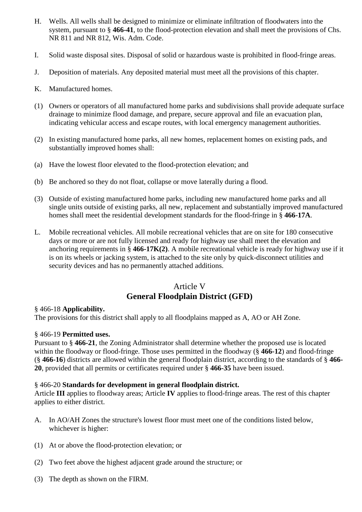- H. Wells. All wells shall be designed to minimize or eliminate infiltration of floodwaters into the system, pursuant to § **466-41**, to the flood-protection elevation and shall meet the provisions of Chs. NR 811 and NR 812, Wis. Adm. Code.
- I. Solid waste disposal sites. Disposal of solid or hazardous waste is prohibited in flood-fringe areas.
- J. Deposition of materials. Any deposited material must meet all the provisions of this chapter.
- K. Manufactured homes.
- (1) Owners or operators of all manufactured home parks and subdivisions shall provide adequate surface drainage to minimize flood damage, and prepare, secure approval and file an evacuation plan, indicating vehicular access and escape routes, with local emergency management authorities.
- (2) In existing manufactured home parks, all new homes, replacement homes on existing pads, and substantially improved homes shall:
- (a) Have the lowest floor elevated to the flood-protection elevation; and
- (b) Be anchored so they do not float, collapse or move laterally during a flood.
- (3) Outside of existing manufactured home parks, including new manufactured home parks and all single units outside of existing parks, all new, replacement and substantially improved manufactured homes shall meet the residential development standards for the flood-fringe in § **466-17A**.
- L. Mobile recreational vehicles. All mobile recreational vehicles that are on site for 180 consecutive days or more or are not fully licensed and ready for highway use shall meet the elevation and anchoring requirements in § **466-17K(2)**. A mobile recreational vehicle is ready for highway use if it is on its wheels or jacking system, is attached to the site only by quick-disconnect utilities and security devices and has no permanently attached additions.

# Article V **General Floodplain District (GFD)**

# § 466-18 **Applicability.**

The provisions for this district shall apply to all floodplains mapped as A, AO or AH Zone.

# § 466-19 **Permitted uses.**

Pursuant to § **466-21**, the Zoning Administrator shall determine whether the proposed use is located within the floodway or flood-fringe. Those uses permitted in the floodway (§ **466-12**) and flood-fringe (§ **466-16**) districts are allowed within the general floodplain district, according to the standards of § **466- 20**, provided that all permits or certificates required under § **466-35** have been issued.

# § 466-20 **Standards for development in general floodplain district.**

Article **III** applies to floodway areas; Article **IV** applies to flood-fringe areas. The rest of this chapter applies to either district.

- A. In AO/AH Zones the structure's lowest floor must meet one of the conditions listed below, whichever is higher:
- (1) At or above the flood-protection elevation; or
- (2) Two feet above the highest adjacent grade around the structure; or
- (3) The depth as shown on the FIRM.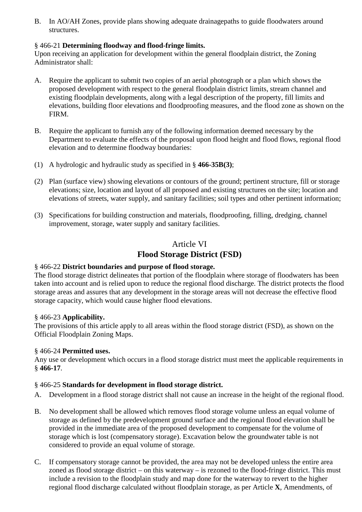B. In AO/AH Zones, provide plans showing adequate drainagepaths to guide floodwaters around structures.

# § 466-21 **Determining floodway and flood-fringe limits.**

Upon receiving an application for development within the general floodplain district, the Zoning Administrator shall:

- A. Require the applicant to submit two copies of an aerial photograph or a plan which shows the proposed development with respect to the general floodplain district limits, stream channel and existing floodplain developments, along with a legal description of the property, fill limits and elevations, building floor elevations and floodproofing measures, and the flood zone as shown on the FIRM.
- B. Require the applicant to furnish any of the following information deemed necessary by the Department to evaluate the effects of the proposal upon flood height and flood flows, regional flood elevation and to determine floodway boundaries:
- (1) A hydrologic and hydraulic study as specified in § **466-35B(3)**;
- (2) Plan (surface view) showing elevations or contours of the ground; pertinent structure, fill or storage elevations; size, location and layout of all proposed and existing structures on the site; location and elevations of streets, water supply, and sanitary facilities; soil types and other pertinent information;
- (3) Specifications for building construction and materials, floodproofing, filling, dredging, channel improvement, storage, water supply and sanitary facilities.

# Article VI **Flood Storage District (FSD)**

# § 466-22 **District boundaries and purpose of flood storage.**

The flood storage district delineates that portion of the floodplain where storage of floodwaters has been taken into account and is relied upon to reduce the regional flood discharge. The district protects the flood storage areas and assures that any development in the storage areas will not decrease the effective flood storage capacity, which would cause higher flood elevations.

# § 466-23 **Applicability.**

The provisions of this article apply to all areas within the flood storage district (FSD), as shown on the Official Floodplain Zoning Maps.

# § 466-24 **Permitted uses.**

Any use or development which occurs in a flood storage district must meet the applicable requirements in § **466-17**.

# § 466-25 **Standards for development in flood storage district.**

- A. Development in a flood storage district shall not cause an increase in the height of the regional flood.
- B. No development shall be allowed which removes flood storage volume unless an equal volume of storage as defined by the predevelopment ground surface and the regional flood elevation shall be provided in the immediate area of the proposed development to compensate for the volume of storage which is lost (compensatory storage). Excavation below the groundwater table is not considered to provide an equal volume of storage.
- C. If compensatory storage cannot be provided, the area may not be developed unless the entire area zoned as flood storage district – on this waterway – is rezoned to the flood-fringe district. This must include a revision to the floodplain study and map done for the waterway to revert to the higher regional flood discharge calculated without floodplain storage, as per Article **X**, Amendments, of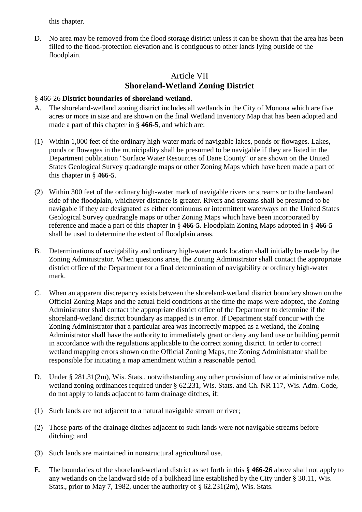this chapter.

D. No area may be removed from the flood storage district unless it can be shown that the area has been filled to the flood-protection elevation and is contiguous to other lands lying outside of the floodplain.

# Article VII **Shoreland-Wetland Zoning District**

# § 466-26 **District boundaries of shoreland-wetland.**

- A. The shoreland-wetland zoning district includes all wetlands in the City of Monona which are five acres or more in size and are shown on the final Wetland Inventory Map that has been adopted and made a part of this chapter in § **466-5**, and which are:
- (1) Within 1,000 feet of the ordinary high-water mark of navigable lakes, ponds or flowages. Lakes, ponds or flowages in the municipality shall be presumed to be navigable if they are listed in the Department publication "Surface Water Resources of Dane County" or are shown on the United States Geological Survey quadrangle maps or other Zoning Maps which have been made a part of this chapter in § **466-5**.
- (2) Within 300 feet of the ordinary high-water mark of navigable rivers or streams or to the landward side of the floodplain, whichever distance is greater. Rivers and streams shall be presumed to be navigable if they are designated as either continuous or intermittent waterways on the United States Geological Survey quadrangle maps or other Zoning Maps which have been incorporated by reference and made a part of this chapter in § **466-5**. Floodplain Zoning Maps adopted in § **466-5** shall be used to determine the extent of floodplain areas.
- B. Determinations of navigability and ordinary high-water mark location shall initially be made by the Zoning Administrator. When questions arise, the Zoning Administrator shall contact the appropriate district office of the Department for a final determination of navigability or ordinary high-water mark.
- C. When an apparent discrepancy exists between the shoreland-wetland district boundary shown on the Official Zoning Maps and the actual field conditions at the time the maps were adopted, the Zoning Administrator shall contact the appropriate district office of the Department to determine if the shoreland-wetland district boundary as mapped is in error. If Department staff concur with the Zoning Administrator that a particular area was incorrectly mapped as a wetland, the Zoning Administrator shall have the authority to immediately grant or deny any land use or building permit in accordance with the regulations applicable to the correct zoning district. In order to correct wetland mapping errors shown on the Official Zoning Maps, the Zoning Administrator shall be responsible for initiating a map amendment within a reasonable period.
- D. Under § 281.31(2m), Wis. Stats., notwithstanding any other provision of law or administrative rule, wetland zoning ordinances required under § 62.231, Wis. Stats. and Ch. NR 117, Wis. Adm. Code, do not apply to lands adjacent to farm drainage ditches, if:
- (1) Such lands are not adjacent to a natural navigable stream or river;
- (2) Those parts of the drainage ditches adjacent to such lands were not navigable streams before ditching; and
- (3) Such lands are maintained in nonstructural agricultural use.
- E. The boundaries of the shoreland-wetland district as set forth in this § **466-26** above shall not apply to any wetlands on the landward side of a bulkhead line established by the City under § 30.11, Wis. Stats., prior to May 7, 1982, under the authority of  $\S 62.231(2m)$ , Wis. Stats.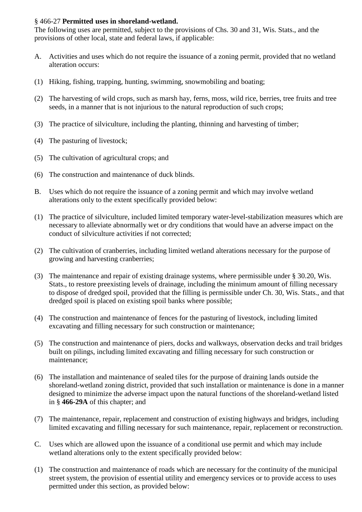# § 466-27 **Permitted uses in shoreland-wetland.**

The following uses are permitted, subject to the provisions of Chs. 30 and 31, Wis. Stats., and the provisions of other local, state and federal laws, if applicable:

- A. Activities and uses which do not require the issuance of a zoning permit, provided that no wetland alteration occurs:
- (1) Hiking, fishing, trapping, hunting, swimming, snowmobiling and boating;
- (2) The harvesting of wild crops, such as marsh hay, ferns, moss, wild rice, berries, tree fruits and tree seeds, in a manner that is not injurious to the natural reproduction of such crops;
- (3) The practice of silviculture, including the planting, thinning and harvesting of timber;
- (4) The pasturing of livestock;
- (5) The cultivation of agricultural crops; and
- (6) The construction and maintenance of duck blinds.
- B. Uses which do not require the issuance of a zoning permit and which may involve wetland alterations only to the extent specifically provided below:
- (1) The practice of silviculture, included limited temporary water-level-stabilization measures which are necessary to alleviate abnormally wet or dry conditions that would have an adverse impact on the conduct of silviculture activities if not corrected;
- (2) The cultivation of cranberries, including limited wetland alterations necessary for the purpose of growing and harvesting cranberries;
- (3) The maintenance and repair of existing drainage systems, where permissible under § 30.20, Wis. Stats., to restore preexisting levels of drainage, including the minimum amount of filling necessary to dispose of dredged spoil, provided that the filling is permissible under Ch. 30, Wis. Stats., and that dredged spoil is placed on existing spoil banks where possible;
- (4) The construction and maintenance of fences for the pasturing of livestock, including limited excavating and filling necessary for such construction or maintenance;
- (5) The construction and maintenance of piers, docks and walkways, observation decks and trail bridges built on pilings, including limited excavating and filling necessary for such construction or maintenance;
- (6) The installation and maintenance of sealed tiles for the purpose of draining lands outside the shoreland-wetland zoning district, provided that such installation or maintenance is done in a manner designed to minimize the adverse impact upon the natural functions of the shoreland-wetland listed in § **466-29A** of this chapter; and
- (7) The maintenance, repair, replacement and construction of existing highways and bridges, including limited excavating and filling necessary for such maintenance, repair, replacement or reconstruction.
- C. Uses which are allowed upon the issuance of a conditional use permit and which may include wetland alterations only to the extent specifically provided below:
- (1) The construction and maintenance of roads which are necessary for the continuity of the municipal street system, the provision of essential utility and emergency services or to provide access to uses permitted under this section, as provided below: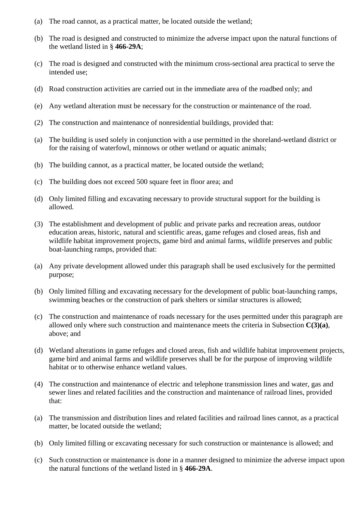- (a) The road cannot, as a practical matter, be located outside the wetland;
- (b) The road is designed and constructed to minimize the adverse impact upon the natural functions of the wetland listed in § **466-29A**;
- (c) The road is designed and constructed with the minimum cross-sectional area practical to serve the intended use:
- (d) Road construction activities are carried out in the immediate area of the roadbed only; and
- (e) Any wetland alteration must be necessary for the construction or maintenance of the road.
- (2) The construction and maintenance of nonresidential buildings, provided that:
- (a) The building is used solely in conjunction with a use permitted in the shoreland-wetland district or for the raising of waterfowl, minnows or other wetland or aquatic animals;
- (b) The building cannot, as a practical matter, be located outside the wetland;
- (c) The building does not exceed 500 square feet in floor area; and
- (d) Only limited filling and excavating necessary to provide structural support for the building is allowed.
- (3) The establishment and development of public and private parks and recreation areas, outdoor education areas, historic, natural and scientific areas, game refuges and closed areas, fish and wildlife habitat improvement projects, game bird and animal farms, wildlife preserves and public boat-launching ramps, provided that:
- (a) Any private development allowed under this paragraph shall be used exclusively for the permitted purpose;
- (b) Only limited filling and excavating necessary for the development of public boat-launching ramps, swimming beaches or the construction of park shelters or similar structures is allowed;
- (c) The construction and maintenance of roads necessary for the uses permitted under this paragraph are allowed only where such construction and maintenance meets the criteria in Subsection **C(3)(a)**, above; and
- (d) Wetland alterations in game refuges and closed areas, fish and wildlife habitat improvement projects, game bird and animal farms and wildlife preserves shall be for the purpose of improving wildlife habitat or to otherwise enhance wetland values.
- (4) The construction and maintenance of electric and telephone transmission lines and water, gas and sewer lines and related facilities and the construction and maintenance of railroad lines, provided that:
- (a) The transmission and distribution lines and related facilities and railroad lines cannot, as a practical matter, be located outside the wetland;
- (b) Only limited filling or excavating necessary for such construction or maintenance is allowed; and
- (c) Such construction or maintenance is done in a manner designed to minimize the adverse impact upon the natural functions of the wetland listed in § **466-29A**.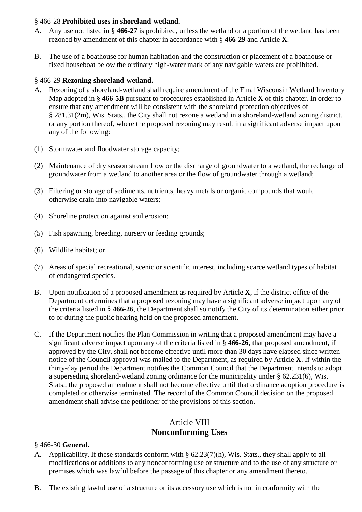# § 466-28 **Prohibited uses in shoreland-wetland.**

- A. Any use not listed in § **466-27** is prohibited, unless the wetland or a portion of the wetland has been rezoned by amendment of this chapter in accordance with § **466-29** and Article **X**.
- B. The use of a boathouse for human habitation and the construction or placement of a boathouse or fixed houseboat below the ordinary high-water mark of any navigable waters are prohibited.

# § 466-29 **Rezoning shoreland-wetland.**

- A. Rezoning of a shoreland-wetland shall require amendment of the Final Wisconsin Wetland Inventory Map adopted in § **466-5B** pursuant to procedures established in Article **X** of this chapter. In order to ensure that any amendment will be consistent with the shoreland protection objectives of § 281.31(2m), Wis. Stats., the City shall not rezone a wetland in a shoreland-wetland zoning district, or any portion thereof, where the proposed rezoning may result in a significant adverse impact upon any of the following:
- (1) Stormwater and floodwater storage capacity;
- (2) Maintenance of dry season stream flow or the discharge of groundwater to a wetland, the recharge of groundwater from a wetland to another area or the flow of groundwater through a wetland;
- (3) Filtering or storage of sediments, nutrients, heavy metals or organic compounds that would otherwise drain into navigable waters;
- (4) Shoreline protection against soil erosion;
- (5) Fish spawning, breeding, nursery or feeding grounds;
- (6) Wildlife habitat; or
- (7) Areas of special recreational, scenic or scientific interest, including scarce wetland types of habitat of endangered species.
- B. Upon notification of a proposed amendment as required by Article **X**, if the district office of the Department determines that a proposed rezoning may have a significant adverse impact upon any of the criteria listed in § **466-26**, the Department shall so notify the City of its determination either prior to or during the public hearing held on the proposed amendment.
- C. If the Department notifies the Plan Commission in writing that a proposed amendment may have a significant adverse impact upon any of the criteria listed in § **466-26**, that proposed amendment, if approved by the City, shall not become effective until more than 30 days have elapsed since written notice of the Council approval was mailed to the Department, as required by Article **X**. If within the thirty-day period the Department notifies the Common Council that the Department intends to adopt a superseding shoreland-wetland zoning ordinance for the municipality under § 62.231(6), Wis. Stats., the proposed amendment shall not become effective until that ordinance adoption procedure is completed or otherwise terminated. The record of the Common Council decision on the proposed amendment shall advise the petitioner of the provisions of this section.

# Article VIII **Nonconforming Uses**

#### § 466-30 **General.**

- A. Applicability. If these standards conform with § 62.23(7)(h), Wis. Stats., they shall apply to all modifications or additions to any nonconforming use or structure and to the use of any structure or premises which was lawful before the passage of this chapter or any amendment thereto.
- B. The existing lawful use of a structure or its accessory use which is not in conformity with the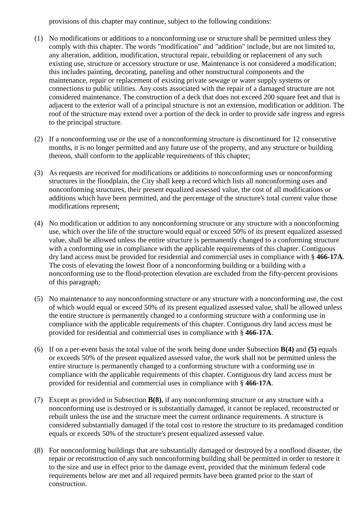provisions of this chapter may continue, subject to the following conditions:

- (1) No modifications or additions to a nonconforming use or structure shall be permitted unless they comply with this chapter. The words "modification" and "addition" include, but are not limited to, any alteration, addition, modification, structural repair, rebuilding or replacement of any such existing use, structure or accessory structure or use. Maintenance is not considered a modification; this includes painting, decorating, paneling and other nonstructural components and the maintenance, repair or replacement of existing private sewage or water supply systems or connections to public utilities. Any costs associated with the repair of a damaged structure are not considered maintenance. The construction of a deck that does not exceed 200 square feet and that is adjacent to the exterior wall of a principal structure is not an extension, modification or addition. The roof of the structure may extend over a portion of the deck in order to provide safe ingress and egress to the principal structure.
- (2) If a nonconforming use or the use of a nonconforming structure is discontinued for 12 consecutive months, it is no longer permitted and any future use of the property, and any structure or building thereon, shall conform to the applicable requirements of this chapter;
- (3) As requests are received for modifications or additions to nonconforming uses or nonconforming structures in the floodplain, the City shall keep a record which lists all nonconforming uses and nonconforming structures, their present equalized assessed value, the cost of all modifications or additions which have been permitted, and the percentage of the structure's total current value those modifications represent;
- (4) No modification or addition to any nonconforming structure or any structure with a nonconforming use, which over the life of the structure would equal or exceed 50% of its present equalized assessed value, shall be allowed unless the entire structure is permanently changed to a conforming structure with a conforming use in compliance with the applicable requirements of this chapter. Contiguous dry land access must be provided for residential and commercial uses in compliance with § **466-17A**. The costs of elevating the lowest floor of a nonconforming building or a building with a nonconforming use to the flood-protection elevation are excluded from the fifty-percent provisions of this paragraph;
- (5) No maintenance to any nonconforming structure or any structure with a nonconforming use, the cost of which would equal or exceed 50% of its present equalized assessed value, shall be allowed unless the entire structure is permanently changed to a conforming structure with a conforming use in compliance with the applicable requirements of this chapter. Contiguous dry land access must be provided for residential and commercial uses in compliance with § **466-17A**.
- (6) If on a per-event basis the total value of the work being done under Subsection **B(4)** and **(5)** equals or exceeds 50% of the present equalized assessed value, the work shall not be permitted unless the entire structure is permanently changed to a conforming structure with a conforming use in compliance with the applicable requirements of this chapter. Contiguous dry land access must be provided for residential and commercial uses in compliance with § **466-17A**.
- (7) Except as provided in Subsection **B(8)**, if any nonconforming structure or any structure with a nonconforming use is destroyed or is substantially damaged, it cannot be replaced, reconstructed or rebuilt unless the use and the structure meet the current ordinance requirements. A structure is considered substantially damaged if the total cost to restore the structure to its predamaged condition equals or exceeds 50% of the structure's present equalized assessed value.
- (8) For nonconforming buildings that are substantially damaged or destroyed by a nonflood disaster, the repair or reconstruction of any such nonconforming building shall be permitted in order to restore it to the size and use in effect prior to the damage event, provided that the minimum federal code requirements below are met and all required permits have been granted prior to the start of construction.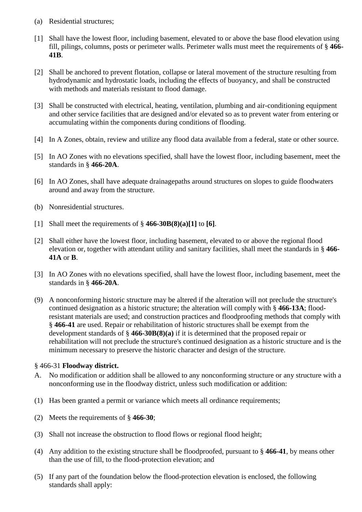- (a) Residential structures;
- [1] Shall have the lowest floor, including basement, elevated to or above the base flood elevation using fill, pilings, columns, posts or perimeter walls. Perimeter walls must meet the requirements of § **466- 41B**.
- [2] Shall be anchored to prevent flotation, collapse or lateral movement of the structure resulting from hydrodynamic and hydrostatic loads, including the effects of buoyancy, and shall be constructed with methods and materials resistant to flood damage.
- [3] Shall be constructed with electrical, heating, ventilation, plumbing and air-conditioning equipment and other service facilities that are designed and/or elevated so as to prevent water from entering or accumulating within the components during conditions of flooding.
- [4] In A Zones, obtain, review and utilize any flood data available from a federal, state or other source.
- [5] In AO Zones with no elevations specified, shall have the lowest floor, including basement, meet the standards in § **466-20A**.
- [6] In AO Zones, shall have adequate drainagepaths around structures on slopes to guide floodwaters around and away from the structure.
- (b) Nonresidential structures.
- [1] Shall meet the requirements of § **466-30B(8)(a)[1]** to **[6]**.
- [2] Shall either have the lowest floor, including basement, elevated to or above the regional flood elevation or, together with attendant utility and sanitary facilities, shall meet the standards in § **466- 41A** or **B**.
- [3] In AO Zones with no elevations specified, shall have the lowest floor, including basement, meet the standards in § **466-20A**.
- (9) A nonconforming historic structure may be altered if the alteration will not preclude the structure's continued designation as a historic structure; the alteration will comply with § **466-13A**; floodresistant materials are used; and construction practices and floodproofing methods that comply with § **466-41** are used. Repair or rehabilitation of historic structures shall be exempt from the development standards of § **466-30B(8)(a)** if it is determined that the proposed repair or rehabilitation will not preclude the structure's continued designation as a historic structure and is the minimum necessary to preserve the historic character and design of the structure.

#### § 466-31 **Floodway district.**

- A. No modification or addition shall be allowed to any nonconforming structure or any structure with a nonconforming use in the floodway district, unless such modification or addition:
- (1) Has been granted a permit or variance which meets all ordinance requirements;
- (2) Meets the requirements of § **466-30**;
- (3) Shall not increase the obstruction to flood flows or regional flood height;
- (4) Any addition to the existing structure shall be floodproofed, pursuant to § **466-41**, by means other than the use of fill, to the flood-protection elevation; and
- (5) If any part of the foundation below the flood-protection elevation is enclosed, the following standards shall apply: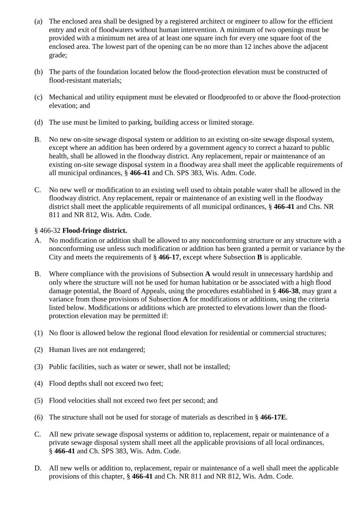- (a) The enclosed area shall be designed by a registered architect or engineer to allow for the efficient entry and exit of floodwaters without human intervention. A minimum of two openings must be provided with a minimum net area of at least one square inch for every one square foot of the enclosed area. The lowest part of the opening can be no more than 12 inches above the adjacent grade;
- (b) The parts of the foundation located below the flood-protection elevation must be constructed of flood-resistant materials;
- (c) Mechanical and utility equipment must be elevated or floodproofed to or above the flood-protection elevation; and
- (d) The use must be limited to parking, building access or limited storage.
- B. No new on-site sewage disposal system or addition to an existing on-site sewage disposal system, except where an addition has been ordered by a government agency to correct a hazard to public health, shall be allowed in the floodway district. Any replacement, repair or maintenance of an existing on-site sewage disposal system in a floodway area shall meet the applicable requirements of all municipal ordinances, § **466-41** and Ch. SPS 383, Wis. Adm. Code.
- C. No new well or modification to an existing well used to obtain potable water shall be allowed in the floodway district. Any replacement, repair or maintenance of an existing well in the floodway district shall meet the applicable requirements of all municipal ordinances, § **466-41** and Chs. NR 811 and NR 812, Wis. Adm. Code.

### § 466-32 **Flood-fringe district.**

- A. No modification or addition shall be allowed to any nonconforming structure or any structure with a nonconforming use unless such modification or addition has been granted a permit or variance by the City and meets the requirements of § **466-17**, except where Subsection **B** is applicable.
- B. Where compliance with the provisions of Subsection **A** would result in unnecessary hardship and only where the structure will not be used for human habitation or be associated with a high flood damage potential, the Board of Appeals, using the procedures established in § **466-38**, may grant a variance from those provisions of Subsection **A** for modifications or additions, using the criteria listed below. Modifications or additions which are protected to elevations lower than the floodprotection elevation may be permitted if:
- (1) No floor is allowed below the regional flood elevation for residential or commercial structures;
- (2) Human lives are not endangered;
- (3) Public facilities, such as water or sewer, shall not be installed;
- (4) Flood depths shall not exceed two feet;
- (5) Flood velocities shall not exceed two feet per second; and
- (6) The structure shall not be used for storage of materials as described in § **466-17E**.
- C. All new private sewage disposal systems or addition to, replacement, repair or maintenance of a private sewage disposal system shall meet all the applicable provisions of all local ordinances, § **466-41** and Ch. SPS 383, Wis. Adm. Code.
- D. All new wells or addition to, replacement, repair or maintenance of a well shall meet the applicable provisions of this chapter, § **466-41** and Ch. NR 811 and NR 812, Wis. Adm. Code.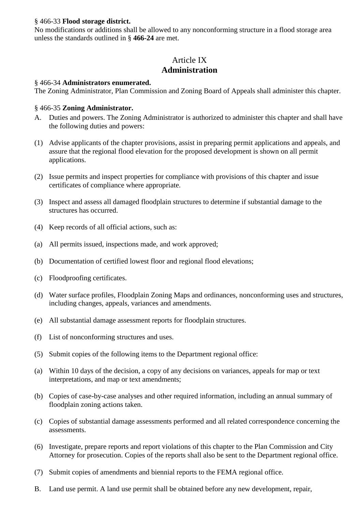### § 466-33 **Flood storage district.**

No modifications or additions shall be allowed to any nonconforming structure in a flood storage area unless the standards outlined in § **466-24** are met.

# Article IX **Administration**

### § 466-34 **Administrators enumerated.**

The Zoning Administrator, Plan Commission and Zoning Board of Appeals shall administer this chapter.

### § 466-35 **Zoning Administrator.**

- A. Duties and powers. The Zoning Administrator is authorized to administer this chapter and shall have the following duties and powers:
- (1) Advise applicants of the chapter provisions, assist in preparing permit applications and appeals, and assure that the regional flood elevation for the proposed development is shown on all permit applications.
- (2) Issue permits and inspect properties for compliance with provisions of this chapter and issue certificates of compliance where appropriate.
- (3) Inspect and assess all damaged floodplain structures to determine if substantial damage to the structures has occurred.
- (4) Keep records of all official actions, such as:
- (a) All permits issued, inspections made, and work approved;
- (b) Documentation of certified lowest floor and regional flood elevations;
- (c) Floodproofing certificates.
- (d) Water surface profiles, Floodplain Zoning Maps and ordinances, nonconforming uses and structures, including changes, appeals, variances and amendments.
- (e) All substantial damage assessment reports for floodplain structures.
- (f) List of nonconforming structures and uses.
- (5) Submit copies of the following items to the Department regional office:
- (a) Within 10 days of the decision, a copy of any decisions on variances, appeals for map or text interpretations, and map or text amendments;
- (b) Copies of case-by-case analyses and other required information, including an annual summary of floodplain zoning actions taken.
- (c) Copies of substantial damage assessments performed and all related correspondence concerning the assessments.
- (6) Investigate, prepare reports and report violations of this chapter to the Plan Commission and City Attorney for prosecution. Copies of the reports shall also be sent to the Department regional office.
- (7) Submit copies of amendments and biennial reports to the FEMA regional office.
- B. Land use permit. A land use permit shall be obtained before any new development, repair,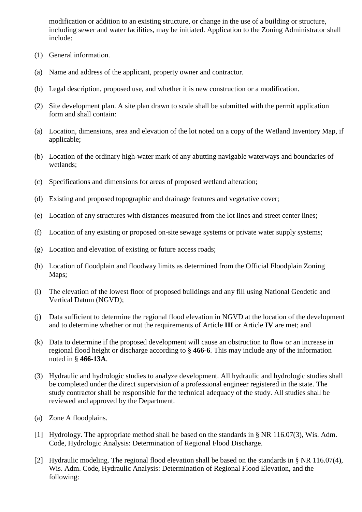modification or addition to an existing structure, or change in the use of a building or structure, including sewer and water facilities, may be initiated. Application to the Zoning Administrator shall include:

- (1) General information.
- (a) Name and address of the applicant, property owner and contractor.
- (b) Legal description, proposed use, and whether it is new construction or a modification.
- (2) Site development plan. A site plan drawn to scale shall be submitted with the permit application form and shall contain:
- (a) Location, dimensions, area and elevation of the lot noted on a copy of the Wetland Inventory Map, if applicable;
- (b) Location of the ordinary high-water mark of any abutting navigable waterways and boundaries of wetlands;
- (c) Specifications and dimensions for areas of proposed wetland alteration;
- (d) Existing and proposed topographic and drainage features and vegetative cover;
- (e) Location of any structures with distances measured from the lot lines and street center lines;
- (f) Location of any existing or proposed on-site sewage systems or private water supply systems;
- (g) Location and elevation of existing or future access roads;
- (h) Location of floodplain and floodway limits as determined from the Official Floodplain Zoning Maps;
- (i) The elevation of the lowest floor of proposed buildings and any fill using National Geodetic and Vertical Datum (NGVD);
- (j) Data sufficient to determine the regional flood elevation in NGVD at the location of the development and to determine whether or not the requirements of Article **III** or Article **IV** are met; and
- (k) Data to determine if the proposed development will cause an obstruction to flow or an increase in regional flood height or discharge according to § **466-6**. This may include any of the information noted in § **466-13A**.
- (3) Hydraulic and hydrologic studies to analyze development. All hydraulic and hydrologic studies shall be completed under the direct supervision of a professional engineer registered in the state. The study contractor shall be responsible for the technical adequacy of the study. All studies shall be reviewed and approved by the Department.
- (a) Zone A floodplains.
- [1] Hydrology. The appropriate method shall be based on the standards in § NR 116.07(3), Wis. Adm. Code, Hydrologic Analysis: Determination of Regional Flood Discharge.
- [2] Hydraulic modeling. The regional flood elevation shall be based on the standards in § NR 116.07(4), Wis. Adm. Code, Hydraulic Analysis: Determination of Regional Flood Elevation, and the following: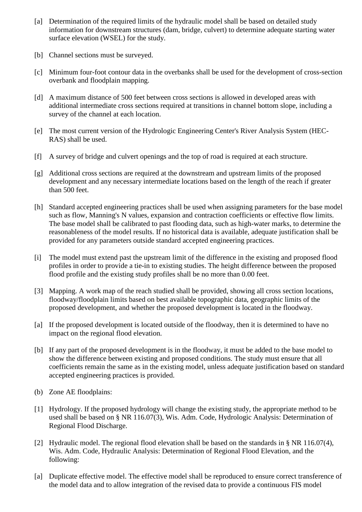- [a] Determination of the required limits of the hydraulic model shall be based on detailed study information for downstream structures (dam, bridge, culvert) to determine adequate starting water surface elevation (WSEL) for the study.
- [b] Channel sections must be surveyed.
- [c] Minimum four-foot contour data in the overbanks shall be used for the development of cross-section overbank and floodplain mapping.
- [d] A maximum distance of 500 feet between cross sections is allowed in developed areas with additional intermediate cross sections required at transitions in channel bottom slope, including a survey of the channel at each location.
- [e] The most current version of the Hydrologic Engineering Center's River Analysis System (HEC-RAS) shall be used.
- [f] A survey of bridge and culvert openings and the top of road is required at each structure.
- [g] Additional cross sections are required at the downstream and upstream limits of the proposed development and any necessary intermediate locations based on the length of the reach if greater than 500 feet.
- [h] Standard accepted engineering practices shall be used when assigning parameters for the base model such as flow, Manning's N values, expansion and contraction coefficients or effective flow limits. The base model shall be calibrated to past flooding data, such as high-water marks, to determine the reasonableness of the model results. If no historical data is available, adequate justification shall be provided for any parameters outside standard accepted engineering practices.
- [i] The model must extend past the upstream limit of the difference in the existing and proposed flood profiles in order to provide a tie-in to existing studies. The height difference between the proposed flood profile and the existing study profiles shall be no more than 0.00 feet.
- [3] Mapping. A work map of the reach studied shall be provided, showing all cross section locations, floodway/floodplain limits based on best available topographic data, geographic limits of the proposed development, and whether the proposed development is located in the floodway.
- [a] If the proposed development is located outside of the floodway, then it is determined to have no impact on the regional flood elevation.
- [b] If any part of the proposed development is in the floodway, it must be added to the base model to show the difference between existing and proposed conditions. The study must ensure that all coefficients remain the same as in the existing model, unless adequate justification based on standard accepted engineering practices is provided.
- (b) Zone AE floodplains:
- [1] Hydrology. If the proposed hydrology will change the existing study, the appropriate method to be used shall be based on § NR 116.07(3), Wis. Adm. Code, Hydrologic Analysis: Determination of Regional Flood Discharge.
- [2] Hydraulic model. The regional flood elevation shall be based on the standards in § NR 116.07(4), Wis. Adm. Code, Hydraulic Analysis: Determination of Regional Flood Elevation, and the following:
- [a] Duplicate effective model. The effective model shall be reproduced to ensure correct transference of the model data and to allow integration of the revised data to provide a continuous FIS model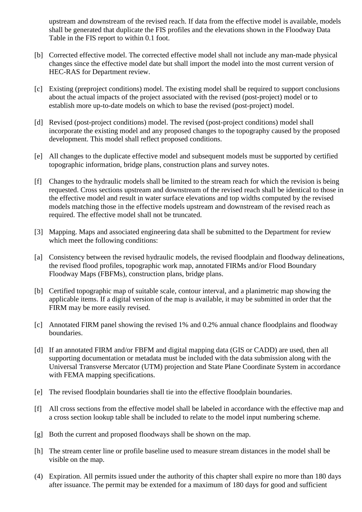upstream and downstream of the revised reach. If data from the effective model is available, models shall be generated that duplicate the FIS profiles and the elevations shown in the Floodway Data Table in the FIS report to within 0.1 foot.

- [b] Corrected effective model. The corrected effective model shall not include any man-made physical changes since the effective model date but shall import the model into the most current version of HEC-RAS for Department review.
- [c] Existing (preproject conditions) model. The existing model shall be required to support conclusions about the actual impacts of the project associated with the revised (post-project) model or to establish more up-to-date models on which to base the revised (post-project) model.
- [d] Revised (post-project conditions) model. The revised (post-project conditions) model shall incorporate the existing model and any proposed changes to the topography caused by the proposed development. This model shall reflect proposed conditions.
- [e] All changes to the duplicate effective model and subsequent models must be supported by certified topographic information, bridge plans, construction plans and survey notes.
- [f] Changes to the hydraulic models shall be limited to the stream reach for which the revision is being requested. Cross sections upstream and downstream of the revised reach shall be identical to those in the effective model and result in water surface elevations and top widths computed by the revised models matching those in the effective models upstream and downstream of the revised reach as required. The effective model shall not be truncated.
- [3] Mapping. Maps and associated engineering data shall be submitted to the Department for review which meet the following conditions:
- [a] Consistency between the revised hydraulic models, the revised floodplain and floodway delineations, the revised flood profiles, topographic work map, annotated FIRMs and/or Flood Boundary Floodway Maps (FBFMs), construction plans, bridge plans.
- [b] Certified topographic map of suitable scale, contour interval, and a planimetric map showing the applicable items. If a digital version of the map is available, it may be submitted in order that the FIRM may be more easily revised.
- [c] Annotated FIRM panel showing the revised 1% and 0.2% annual chance floodplains and floodway boundaries.
- [d] If an annotated FIRM and/or FBFM and digital mapping data (GIS or CADD) are used, then all supporting documentation or metadata must be included with the data submission along with the Universal Transverse Mercator (UTM) projection and State Plane Coordinate System in accordance with FEMA mapping specifications.
- [e] The revised floodplain boundaries shall tie into the effective floodplain boundaries.
- [f] All cross sections from the effective model shall be labeled in accordance with the effective map and a cross section lookup table shall be included to relate to the model input numbering scheme.
- [g] Both the current and proposed floodways shall be shown on the map.
- [h] The stream center line or profile baseline used to measure stream distances in the model shall be visible on the map.
- (4) Expiration. All permits issued under the authority of this chapter shall expire no more than 180 days after issuance. The permit may be extended for a maximum of 180 days for good and sufficient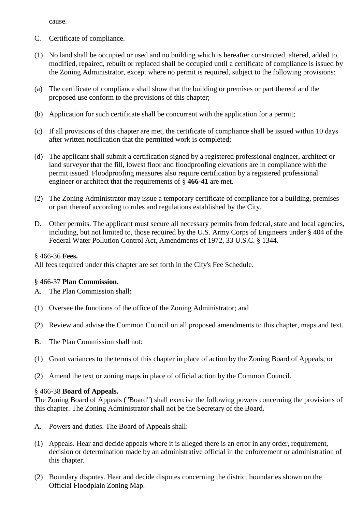cause.

- C. Certificate of compliance.
- (1) No land shall be occupied or used and no building which is hereafter constructed, altered, added to, modified, repaired, rebuilt or replaced shall be occupied until a certificate of compliance is issued by the Zoning Administrator, except where no permit is required, subject to the following provisions:
- (a) The certificate of compliance shall show that the building or premises or part thereof and the proposed use conform to the provisions of this chapter;
- (b) Application for such certificate shall be concurrent with the application for a permit;
- (c) If all provisions of this chapter are met, the certificate of compliance shall be issued within 10 days after written notification that the permitted work is completed;
- (d) The applicant shall submit a certification signed by a registered professional engineer, architect or land surveyor that the fill, lowest floor and floodproofing elevations are in compliance with the permit issued. Floodproofing measures also require certification by a registered professional engineer or architect that the requirements of § **466-41** are met.
- (2) The Zoning Administrator may issue a temporary certificate of compliance for a building, premises or part thereof according to rules and regulations established by the City.
- D. Other permits. The applicant must secure all necessary permits from federal, state and local agencies, including, but not limited to, those required by the U.S. Army Corps of Engineers under § 404 of the Federal Water Pollution Control Act, Amendments of 1972, 33 U.S.C. § 1344.

§ 466-36 **Fees.** 

All fees required under this chapter are set forth in the City's Fee Schedule.

# § 466-37 **Plan Commission.**

- A. The Plan Commission shall:
- (1) Oversee the functions of the office of the Zoning Administrator; and
- (2) Review and advise the Common Council on all proposed amendments to this chapter, maps and text.
- B. The Plan Commission shall not:
- (1) Grant variances to the terms of this chapter in place of action by the Zoning Board of Appeals; or
- (2) Amend the text or zoning maps in place of official action by the Common Council.

#### § 466-38 **Board of Appeals.**

The Zoning Board of Appeals ("Board") shall exercise the following powers concerning the provisions of this chapter. The Zoning Administrator shall not be the Secretary of the Board.

- A. Powers and duties. The Board of Appeals shall:
- (1) Appeals. Hear and decide appeals where it is alleged there is an error in any order, requirement, decision or determination made by an administrative official in the enforcement or administration of this chapter.
- (2) Boundary disputes. Hear and decide disputes concerning the district boundaries shown on the Official Floodplain Zoning Map.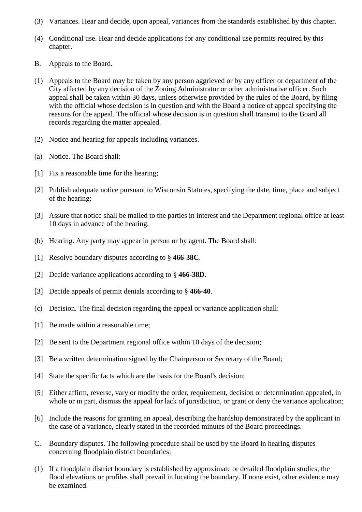- (3) Variances. Hear and decide, upon appeal, variances from the standards established by this chapter.
- (4) Conditional use. Hear and decide applications for any conditional use permits required by this chapter.
- B. Appeals to the Board.
- (1) Appeals to the Board may be taken by any person aggrieved or by any officer or department of the City affected by any decision of the Zoning Administrator or other administrative officer. Such appeal shall be taken within 30 days, unless otherwise provided by the rules of the Board, by filing with the official whose decision is in question and with the Board a notice of appeal specifying the reasons for the appeal. The official whose decision is in question shall transmit to the Board all records regarding the matter appealed.
- (2) Notice and hearing for appeals including variances.
- (a) Notice. The Board shall:
- [1] Fix a reasonable time for the hearing;
- [2] Publish adequate notice pursuant to Wisconsin Statutes, specifying the date, time, place and subject of the hearing;
- [3] Assure that notice shall be mailed to the parties in interest and the Department regional office at least 10 days in advance of the hearing.
- (b) Hearing. Any party may appear in person or by agent. The Board shall:
- [1] Resolve boundary disputes according to § **466-38C**.
- [2] Decide variance applications according to § **466-38D**.
- [3] Decide appeals of permit denials according to § **466-40**.
- (c) Decision. The final decision regarding the appeal or variance application shall:
- [1] Be made within a reasonable time;
- [2] Be sent to the Department regional office within 10 days of the decision;
- [3] Be a written determination signed by the Chairperson or Secretary of the Board;
- [4] State the specific facts which are the basis for the Board's decision;
- [5] Either affirm, reverse, vary or modify the order, requirement, decision or determination appealed, in whole or in part, dismiss the appeal for lack of jurisdiction, or grant or deny the variance application;
- [6] Include the reasons for granting an appeal, describing the hardship demonstrated by the applicant in the case of a variance, clearly stated in the recorded minutes of the Board proceedings.
- C. Boundary disputes. The following procedure shall be used by the Board in hearing disputes concerning floodplain district boundaries:
- (1) If a floodplain district boundary is established by approximate or detailed floodplain studies, the flood elevations or profiles shall prevail in locating the boundary. If none exist, other evidence may be examined.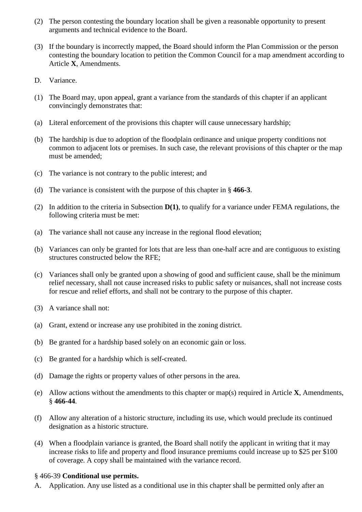- (2) The person contesting the boundary location shall be given a reasonable opportunity to present arguments and technical evidence to the Board.
- (3) If the boundary is incorrectly mapped, the Board should inform the Plan Commission or the person contesting the boundary location to petition the Common Council for a map amendment according to Article **X**, Amendments.
- D. Variance.
- (1) The Board may, upon appeal, grant a variance from the standards of this chapter if an applicant convincingly demonstrates that:
- (a) Literal enforcement of the provisions this chapter will cause unnecessary hardship;
- (b) The hardship is due to adoption of the floodplain ordinance and unique property conditions not common to adjacent lots or premises. In such case, the relevant provisions of this chapter or the map must be amended;
- (c) The variance is not contrary to the public interest; and
- (d) The variance is consistent with the purpose of this chapter in § **466-3**.
- (2) In addition to the criteria in Subsection **D(1)**, to qualify for a variance under FEMA regulations, the following criteria must be met:
- (a) The variance shall not cause any increase in the regional flood elevation;
- (b) Variances can only be granted for lots that are less than one-half acre and are contiguous to existing structures constructed below the RFE;
- (c) Variances shall only be granted upon a showing of good and sufficient cause, shall be the minimum relief necessary, shall not cause increased risks to public safety or nuisances, shall not increase costs for rescue and relief efforts, and shall not be contrary to the purpose of this chapter.
- (3) A variance shall not:
- (a) Grant, extend or increase any use prohibited in the zoning district.
- (b) Be granted for a hardship based solely on an economic gain or loss.
- (c) Be granted for a hardship which is self-created.
- (d) Damage the rights or property values of other persons in the area.
- (e) Allow actions without the amendments to this chapter or map(s) required in Article **X**, Amendments, § **466-44**.
- (f) Allow any alteration of a historic structure, including its use, which would preclude its continued designation as a historic structure.
- (4) When a floodplain variance is granted, the Board shall notify the applicant in writing that it may increase risks to life and property and flood insurance premiums could increase up to \$25 per \$100 of coverage. A copy shall be maintained with the variance record.

#### § 466-39 **Conditional use permits.**

A. Application. Any use listed as a conditional use in this chapter shall be permitted only after an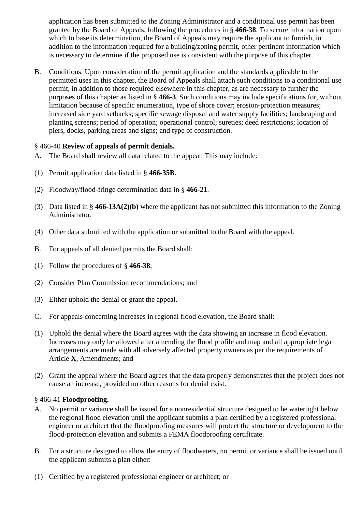application has been submitted to the Zoning Administrator and a conditional use permit has been granted by the Board of Appeals, following the procedures in § **466-38**. To secure information upon which to base its determination, the Board of Appeals may require the applicant to furnish, in addition to the information required for a building/zoning permit, other pertinent information which is necessary to determine if the proposed use is consistent with the purpose of this chapter.

B. Conditions. Upon consideration of the permit application and the standards applicable to the permitted uses in this chapter, the Board of Appeals shall attach such conditions to a conditional use permit, in addition to those required elsewhere in this chapter, as are necessary to further the purposes of this chapter as listed in § **466-3**. Such conditions may include specifications for, without limitation because of specific enumeration, type of shore cover; erosion-protection measures; increased side yard setbacks; specific sewage disposal and water supply facilities; landscaping and planting screens; period of operation; operational control; sureties; deed restrictions; location of piers, docks, parking areas and signs; and type of construction.

# § 466-40 **Review of appeals of permit denials.**

- A. The Board shall review all data related to the appeal. This may include:
- (1) Permit application data listed in § **466-35B**.
- (2) Floodway/flood-fringe determination data in § **466-21**.
- (3) Data listed in § **466-13A(2)(b)** where the applicant has not submitted this information to the Zoning Administrator.
- (4) Other data submitted with the application or submitted to the Board with the appeal.
- B. For appeals of all denied permits the Board shall:
- (1) Follow the procedures of § **466-38**;
- (2) Consider Plan Commission recommendations; and
- (3) Either uphold the denial or grant the appeal.
- C. For appeals concerning increases in regional flood elevation, the Board shall:
- (1) Uphold the denial where the Board agrees with the data showing an increase in flood elevation. Increases may only be allowed after amending the flood profile and map and all appropriate legal arrangements are made with all adversely affected property owners as per the requirements of Article **X**, Amendments; and
- (2) Grant the appeal where the Board agrees that the data properly demonstrates that the project does not cause an increase, provided no other reasons for denial exist.

#### § 466-41 **Floodproofing.**

- A. No permit or variance shall be issued for a nonresidential structure designed to be watertight below the regional flood elevation until the applicant submits a plan certified by a registered professional engineer or architect that the floodproofing measures will protect the structure or development to the flood-protection elevation and submits a FEMA floodproofing certificate.
- B. For a structure designed to allow the entry of floodwaters, no permit or variance shall be issued until the applicant submits a plan either:
- (1) Certified by a registered professional engineer or architect; or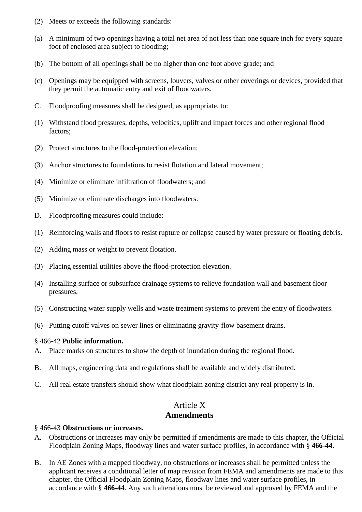- (2) Meets or exceeds the following standards:
- (a) A minimum of two openings having a total net area of not less than one square inch for every square foot of enclosed area subject to flooding;
- (b) The bottom of all openings shall be no higher than one foot above grade; and
- (c) Openings may be equipped with screens, louvers, valves or other coverings or devices, provided that they permit the automatic entry and exit of floodwaters.
- C. Floodproofing measures shall be designed, as appropriate, to:
- (1) Withstand flood pressures, depths, velocities, uplift and impact forces and other regional flood factors;
- (2) Protect structures to the flood-protection elevation;
- (3) Anchor structures to foundations to resist flotation and lateral movement;
- (4) Minimize or eliminate infiltration of floodwaters; and
- (5) Minimize or eliminate discharges into floodwaters.
- D. Floodproofing measures could include:
- (1) Reinforcing walls and floors to resist rupture or collapse caused by water pressure or floating debris.
- (2) Adding mass or weight to prevent flotation.
- (3) Placing essential utilities above the flood-protection elevation.
- (4) Installing surface or subsurface drainage systems to relieve foundation wall and basement floor pressures.
- (5) Constructing water supply wells and waste treatment systems to prevent the entry of floodwaters.
- (6) Putting cutoff valves on sewer lines or eliminating gravity-flow basement drains.

#### § 466-42 **Public information.**

- A. Place marks on structures to show the depth of inundation during the regional flood.
- B. All maps, engineering data and regulations shall be available and widely distributed.
- C. All real estate transfers should show what floodplain zoning district any real property is in.

# Article X **Amendments**

#### § 466-43 **Obstructions or increases.**

- A. Obstructions or increases may only be permitted if amendments are made to this chapter, the Official Floodplain Zoning Maps, floodway lines and water surface profiles, in accordance with § **466-44**.
- B. In AE Zones with a mapped floodway, no obstructions or increases shall be permitted unless the applicant receives a conditional letter of map revision from FEMA and amendments are made to this chapter, the Official Floodplain Zoning Maps, floodway lines and water surface profiles, in accordance with § **466-44**. Any such alterations must be reviewed and approved by FEMA and the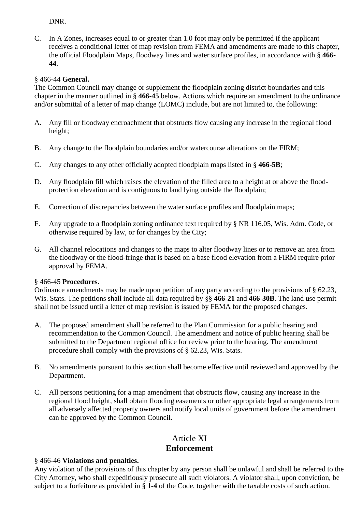# DNR.

C. In A Zones, increases equal to or greater than 1.0 foot may only be permitted if the applicant receives a conditional letter of map revision from FEMA and amendments are made to this chapter, the official Floodplain Maps, floodway lines and water surface profiles, in accordance with § **466- 44**.

# § 466-44 **General.**

The Common Council may change or supplement the floodplain zoning district boundaries and this chapter in the manner outlined in § **466-45** below. Actions which require an amendment to the ordinance and/or submittal of a letter of map change (LOMC) include, but are not limited to, the following:

- A. Any fill or floodway encroachment that obstructs flow causing any increase in the regional flood height;
- B. Any change to the floodplain boundaries and/or watercourse alterations on the FIRM;
- C. Any changes to any other officially adopted floodplain maps listed in § **466-5B**;
- D. Any floodplain fill which raises the elevation of the filled area to a height at or above the floodprotection elevation and is contiguous to land lying outside the floodplain;
- E. Correction of discrepancies between the water surface profiles and floodplain maps;
- F. Any upgrade to a floodplain zoning ordinance text required by § NR 116.05, Wis. Adm. Code, or otherwise required by law, or for changes by the City;
- G. All channel relocations and changes to the maps to alter floodway lines or to remove an area from the floodway or the flood-fringe that is based on a base flood elevation from a FIRM require prior approval by FEMA.

# § 466-45 **Procedures.**

Ordinance amendments may be made upon petition of any party according to the provisions of § 62.23, Wis. Stats. The petitions shall include all data required by §§ **466-21** and **466-30B**. The land use permit shall not be issued until a letter of map revision is issued by FEMA for the proposed changes.

- A. The proposed amendment shall be referred to the Plan Commission for a public hearing and recommendation to the Common Council. The amendment and notice of public hearing shall be submitted to the Department regional office for review prior to the hearing. The amendment procedure shall comply with the provisions of § 62.23, Wis. Stats.
- B. No amendments pursuant to this section shall become effective until reviewed and approved by the Department.
- C. All persons petitioning for a map amendment that obstructs flow, causing any increase in the regional flood height, shall obtain flooding easements or other appropriate legal arrangements from all adversely affected property owners and notify local units of government before the amendment can be approved by the Common Council.

# Article XI **Enforcement**

# § 466-46 **Violations and penalties.**

Any violation of the provisions of this chapter by any person shall be unlawful and shall be referred to the City Attorney, who shall expeditiously prosecute all such violators. A violator shall, upon conviction, be subject to a forfeiture as provided in § **1-4** of the Code, together with the taxable costs of such action.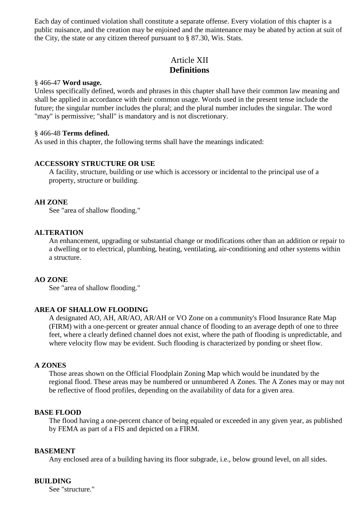Each day of continued violation shall constitute a separate offense. Every violation of this chapter is a public nuisance, and the creation may be enjoined and the maintenance may be abated by action at suit of the City, the state or any citizen thereof pursuant to § 87.30, Wis. Stats.

# Article XII **Definitions**

#### § 466-47 **Word usage.**

Unless specifically defined, words and phrases in this chapter shall have their common law meaning and shall be applied in accordance with their common usage. Words used in the present tense include the future; the singular number includes the plural; and the plural number includes the singular. The word "may" is permissive; "shall" is mandatory and is not discretionary.

#### § 466-48 **Terms defined.**

As used in this chapter, the following terms shall have the meanings indicated:

### **ACCESSORY STRUCTURE OR USE**

A facility, structure, building or use which is accessory or incidental to the principal use of a property, structure or building.

#### **AH ZONE**

See "area of shallow flooding."

#### **ALTERATION**

An enhancement, upgrading or substantial change or modifications other than an addition or repair to a dwelling or to electrical, plumbing, heating, ventilating, air-conditioning and other systems within a structure.

#### **AO ZONE**

See "area of shallow flooding."

#### **AREA OF SHALLOW FLOODING**

A designated AO, AH, AR/AO, AR/AH or VO Zone on a community's Flood Insurance Rate Map (FIRM) with a one-percent or greater annual chance of flooding to an average depth of one to three feet, where a clearly defined channel does not exist, where the path of flooding is unpredictable, and where velocity flow may be evident. Such flooding is characterized by ponding or sheet flow.

#### **A ZONES**

Those areas shown on the Official Floodplain Zoning Map which would be inundated by the regional flood. These areas may be numbered or unnumbered A Zones. The A Zones may or may not be reflective of flood profiles, depending on the availability of data for a given area.

#### **BASE FLOOD**

The flood having a one-percent chance of being equaled or exceeded in any given year, as published by FEMA as part of a FIS and depicted on a FIRM.

#### **BASEMENT**

Any enclosed area of a building having its floor subgrade, i.e., below ground level, on all sides.

#### **BUILDING**

See "structure."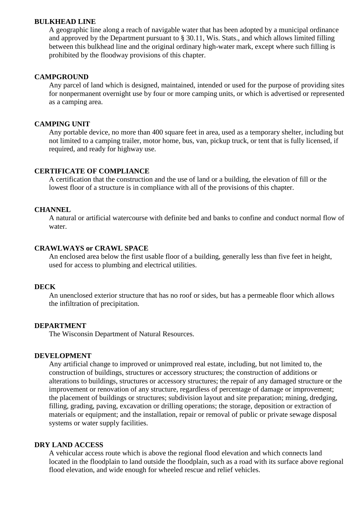#### **BULKHEAD LINE**

A geographic line along a reach of navigable water that has been adopted by a municipal ordinance and approved by the Department pursuant to § 30.11, Wis. Stats., and which allows limited filling between this bulkhead line and the original ordinary high-water mark, except where such filling is prohibited by the floodway provisions of this chapter.

#### **CAMPGROUND**

Any parcel of land which is designed, maintained, intended or used for the purpose of providing sites for nonpermanent overnight use by four or more camping units, or which is advertised or represented as a camping area.

#### **CAMPING UNIT**

Any portable device, no more than 400 square feet in area, used as a temporary shelter, including but not limited to a camping trailer, motor home, bus, van, pickup truck, or tent that is fully licensed, if required, and ready for highway use.

#### **CERTIFICATE OF COMPLIANCE**

A certification that the construction and the use of land or a building, the elevation of fill or the lowest floor of a structure is in compliance with all of the provisions of this chapter.

#### **CHANNEL**

A natural or artificial watercourse with definite bed and banks to confine and conduct normal flow of water.

#### **CRAWLWAYS or CRAWL SPACE**

An enclosed area below the first usable floor of a building, generally less than five feet in height, used for access to plumbing and electrical utilities.

#### **DECK**

An unenclosed exterior structure that has no roof or sides, but has a permeable floor which allows the infiltration of precipitation.

#### **DEPARTMENT**

The Wisconsin Department of Natural Resources.

#### **DEVELOPMENT**

Any artificial change to improved or unimproved real estate, including, but not limited to, the construction of buildings, structures or accessory structures; the construction of additions or alterations to buildings, structures or accessory structures; the repair of any damaged structure or the improvement or renovation of any structure, regardless of percentage of damage or improvement; the placement of buildings or structures; subdivision layout and site preparation; mining, dredging, filling, grading, paving, excavation or drilling operations; the storage, deposition or extraction of materials or equipment; and the installation, repair or removal of public or private sewage disposal systems or water supply facilities.

### **DRY LAND ACCESS**

A vehicular access route which is above the regional flood elevation and which connects land located in the floodplain to land outside the floodplain, such as a road with its surface above regional flood elevation, and wide enough for wheeled rescue and relief vehicles.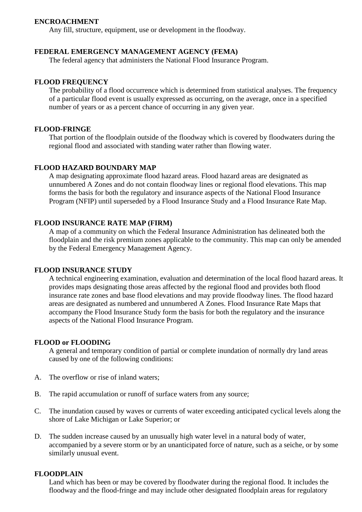#### **ENCROACHMENT**

Any fill, structure, equipment, use or development in the floodway.

#### **FEDERAL EMERGENCY MANAGEMENT AGENCY (FEMA)**

The federal agency that administers the National Flood Insurance Program.

#### **FLOOD FREQUENCY**

The probability of a flood occurrence which is determined from statistical analyses. The frequency of a particular flood event is usually expressed as occurring, on the average, once in a specified number of years or as a percent chance of occurring in any given year.

#### **FLOOD-FRINGE**

That portion of the floodplain outside of the floodway which is covered by floodwaters during the regional flood and associated with standing water rather than flowing water.

#### **FLOOD HAZARD BOUNDARY MAP**

A map designating approximate flood hazard areas. Flood hazard areas are designated as unnumbered A Zones and do not contain floodway lines or regional flood elevations. This map forms the basis for both the regulatory and insurance aspects of the National Flood Insurance Program (NFIP) until superseded by a Flood Insurance Study and a Flood Insurance Rate Map.

#### **FLOOD INSURANCE RATE MAP (FIRM)**

A map of a community on which the Federal Insurance Administration has delineated both the floodplain and the risk premium zones applicable to the community. This map can only be amended by the Federal Emergency Management Agency.

#### **FLOOD INSURANCE STUDY**

A technical engineering examination, evaluation and determination of the local flood hazard areas. It provides maps designating those areas affected by the regional flood and provides both flood insurance rate zones and base flood elevations and may provide floodway lines. The flood hazard areas are designated as numbered and unnumbered A Zones. Flood Insurance Rate Maps that accompany the Flood Insurance Study form the basis for both the regulatory and the insurance aspects of the National Flood Insurance Program.

#### **FLOOD or FLOODING**

A general and temporary condition of partial or complete inundation of normally dry land areas caused by one of the following conditions:

- A. The overflow or rise of inland waters;
- B. The rapid accumulation or runoff of surface waters from any source;
- C. The inundation caused by waves or currents of water exceeding anticipated cyclical levels along the shore of Lake Michigan or Lake Superior; or
- D. The sudden increase caused by an unusually high water level in a natural body of water, accompanied by a severe storm or by an unanticipated force of nature, such as a seiche, or by some similarly unusual event.

#### **FLOODPLAIN**

Land which has been or may be covered by floodwater during the regional flood. It includes the floodway and the flood-fringe and may include other designated floodplain areas for regulatory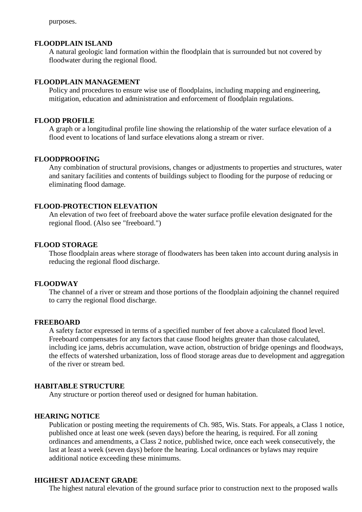purposes.

#### **FLOODPLAIN ISLAND**

A natural geologic land formation within the floodplain that is surrounded but not covered by floodwater during the regional flood.

#### **FLOODPLAIN MANAGEMENT**

Policy and procedures to ensure wise use of floodplains, including mapping and engineering, mitigation, education and administration and enforcement of floodplain regulations.

#### **FLOOD PROFILE**

A graph or a longitudinal profile line showing the relationship of the water surface elevation of a flood event to locations of land surface elevations along a stream or river.

#### **FLOODPROOFING**

Any combination of structural provisions, changes or adjustments to properties and structures, water and sanitary facilities and contents of buildings subject to flooding for the purpose of reducing or eliminating flood damage.

#### **FLOOD-PROTECTION ELEVATION**

An elevation of two feet of freeboard above the water surface profile elevation designated for the regional flood. (Also see "freeboard.")

#### **FLOOD STORAGE**

Those floodplain areas where storage of floodwaters has been taken into account during analysis in reducing the regional flood discharge.

#### **FLOODWAY**

The channel of a river or stream and those portions of the floodplain adjoining the channel required to carry the regional flood discharge.

#### **FREEBOARD**

A safety factor expressed in terms of a specified number of feet above a calculated flood level. Freeboard compensates for any factors that cause flood heights greater than those calculated, including ice jams, debris accumulation, wave action, obstruction of bridge openings and floodways, the effects of watershed urbanization, loss of flood storage areas due to development and aggregation of the river or stream bed.

#### **HABITABLE STRUCTURE**

Any structure or portion thereof used or designed for human habitation.

### **HEARING NOTICE**

Publication or posting meeting the requirements of Ch. 985, Wis. Stats. For appeals, a Class 1 notice, published once at least one week (seven days) before the hearing, is required. For all zoning ordinances and amendments, a Class 2 notice, published twice, once each week consecutively, the last at least a week (seven days) before the hearing. Local ordinances or bylaws may require additional notice exceeding these minimums.

#### **HIGHEST ADJACENT GRADE**

The highest natural elevation of the ground surface prior to construction next to the proposed walls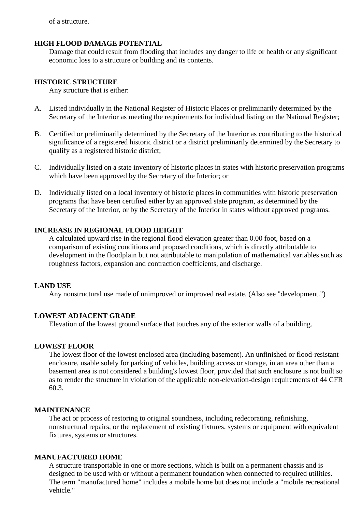of a structure.

### **HIGH FLOOD DAMAGE POTENTIAL**

Damage that could result from flooding that includes any danger to life or health or any significant economic loss to a structure or building and its contents.

### **HISTORIC STRUCTURE**

Any structure that is either:

- A. Listed individually in the National Register of Historic Places or preliminarily determined by the Secretary of the Interior as meeting the requirements for individual listing on the National Register;
- B. Certified or preliminarily determined by the Secretary of the Interior as contributing to the historical significance of a registered historic district or a district preliminarily determined by the Secretary to qualify as a registered historic district;
- C. Individually listed on a state inventory of historic places in states with historic preservation programs which have been approved by the Secretary of the Interior; or
- D. Individually listed on a local inventory of historic places in communities with historic preservation programs that have been certified either by an approved state program, as determined by the Secretary of the Interior, or by the Secretary of the Interior in states without approved programs.

### **INCREASE IN REGIONAL FLOOD HEIGHT**

A calculated upward rise in the regional flood elevation greater than 0.00 foot, based on a comparison of existing conditions and proposed conditions, which is directly attributable to development in the floodplain but not attributable to manipulation of mathematical variables such as roughness factors, expansion and contraction coefficients, and discharge.

#### **LAND USE**

Any nonstructural use made of unimproved or improved real estate. (Also see "development.")

#### **LOWEST ADJACENT GRADE**

Elevation of the lowest ground surface that touches any of the exterior walls of a building.

#### **LOWEST FLOOR**

The lowest floor of the lowest enclosed area (including basement). An unfinished or flood-resistant enclosure, usable solely for parking of vehicles, building access or storage, in an area other than a basement area is not considered a building's lowest floor, provided that such enclosure is not built so as to render the structure in violation of the applicable non-elevation-design requirements of 44 CFR 60.3.

#### **MAINTENANCE**

The act or process of restoring to original soundness, including redecorating, refinishing, nonstructural repairs, or the replacement of existing fixtures, systems or equipment with equivalent fixtures, systems or structures.

# **MANUFACTURED HOME**

A structure transportable in one or more sections, which is built on a permanent chassis and is designed to be used with or without a permanent foundation when connected to required utilities. The term "manufactured home" includes a mobile home but does not include a "mobile recreational vehicle."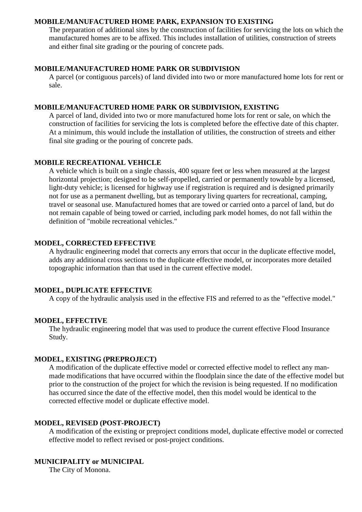#### **MOBILE/MANUFACTURED HOME PARK, EXPANSION TO EXISTING**

The preparation of additional sites by the construction of facilities for servicing the lots on which the manufactured homes are to be affixed. This includes installation of utilities, construction of streets and either final site grading or the pouring of concrete pads.

#### **MOBILE/MANUFACTURED HOME PARK OR SUBDIVISION**

A parcel (or contiguous parcels) of land divided into two or more manufactured home lots for rent or sale.

#### **MOBILE/MANUFACTURED HOME PARK OR SUBDIVISION, EXISTING**

A parcel of land, divided into two or more manufactured home lots for rent or sale, on which the construction of facilities for servicing the lots is completed before the effective date of this chapter. At a minimum, this would include the installation of utilities, the construction of streets and either final site grading or the pouring of concrete pads.

#### **MOBILE RECREATIONAL VEHICLE**

A vehicle which is built on a single chassis, 400 square feet or less when measured at the largest horizontal projection; designed to be self-propelled, carried or permanently towable by a licensed, light-duty vehicle; is licensed for highway use if registration is required and is designed primarily not for use as a permanent dwelling, but as temporary living quarters for recreational, camping, travel or seasonal use. Manufactured homes that are towed or carried onto a parcel of land, but do not remain capable of being towed or carried, including park model homes, do not fall within the definition of "mobile recreational vehicles."

#### **MODEL, CORRECTED EFFECTIVE**

A hydraulic engineering model that corrects any errors that occur in the duplicate effective model, adds any additional cross sections to the duplicate effective model, or incorporates more detailed topographic information than that used in the current effective model.

#### **MODEL, DUPLICATE EFFECTIVE**

A copy of the hydraulic analysis used in the effective FIS and referred to as the "effective model."

#### **MODEL, EFFECTIVE**

The hydraulic engineering model that was used to produce the current effective Flood Insurance Study.

#### **MODEL, EXISTING (PREPROJECT)**

A modification of the duplicate effective model or corrected effective model to reflect any manmade modifications that have occurred within the floodplain since the date of the effective model but prior to the construction of the project for which the revision is being requested. If no modification has occurred since the date of the effective model, then this model would be identical to the corrected effective model or duplicate effective model.

#### **MODEL, REVISED (POST-PROJECT)**

A modification of the existing or preproject conditions model, duplicate effective model or corrected effective model to reflect revised or post-project conditions.

#### **MUNICIPALITY or MUNICIPAL**

The City of Monona.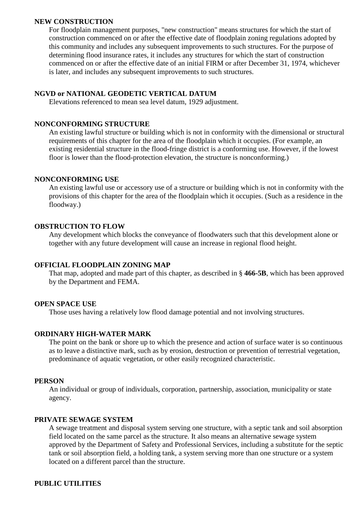#### **NEW CONSTRUCTION**

For floodplain management purposes, "new construction" means structures for which the start of construction commenced on or after the effective date of floodplain zoning regulations adopted by this community and includes any subsequent improvements to such structures. For the purpose of determining flood insurance rates, it includes any structures for which the start of construction commenced on or after the effective date of an initial FIRM or after December 31, 1974, whichever is later, and includes any subsequent improvements to such structures.

#### **NGVD or NATIONAL GEODETIC VERTICAL DATUM**

Elevations referenced to mean sea level datum, 1929 adjustment.

#### **NONCONFORMING STRUCTURE**

An existing lawful structure or building which is not in conformity with the dimensional or structural requirements of this chapter for the area of the floodplain which it occupies. (For example, an existing residential structure in the flood-fringe district is a conforming use. However, if the lowest floor is lower than the flood-protection elevation, the structure is nonconforming.)

#### **NONCONFORMING USE**

An existing lawful use or accessory use of a structure or building which is not in conformity with the provisions of this chapter for the area of the floodplain which it occupies. (Such as a residence in the floodway.)

#### **OBSTRUCTION TO FLOW**

Any development which blocks the conveyance of floodwaters such that this development alone or together with any future development will cause an increase in regional flood height.

#### **OFFICIAL FLOODPLAIN ZONING MAP**

That map, adopted and made part of this chapter, as described in § **466-5B**, which has been approved by the Department and FEMA.

#### **OPEN SPACE USE**

Those uses having a relatively low flood damage potential and not involving structures.

#### **ORDINARY HIGH-WATER MARK**

The point on the bank or shore up to which the presence and action of surface water is so continuous as to leave a distinctive mark, such as by erosion, destruction or prevention of terrestrial vegetation, predominance of aquatic vegetation, or other easily recognized characteristic.

#### **PERSON**

An individual or group of individuals, corporation, partnership, association, municipality or state agency.

#### **PRIVATE SEWAGE SYSTEM**

A sewage treatment and disposal system serving one structure, with a septic tank and soil absorption field located on the same parcel as the structure. It also means an alternative sewage system approved by the Department of Safety and Professional Services, including a substitute for the septic tank or soil absorption field, a holding tank, a system serving more than one structure or a system located on a different parcel than the structure.

#### **PUBLIC UTILITIES**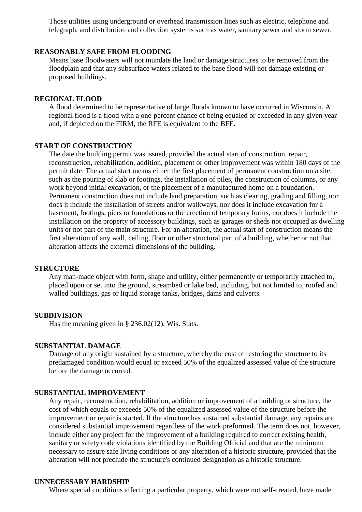Those utilities using underground or overhead transmission lines such as electric, telephone and telegraph, and distribution and collection systems such as water, sanitary sewer and storm sewer.

#### **REASONABLY SAFE FROM FLOODING**

Means base floodwaters will not inundate the land or damage structures to be removed from the floodplain and that any subsurface waters related to the base flood will not damage existing or proposed buildings.

#### **REGIONAL FLOOD**

A flood determined to be representative of large floods known to have occurred in Wisconsin. A regional flood is a flood with a one-percent chance of being equaled or exceeded in any given year and, if depicted on the FIRM, the RFE is equivalent to the BFE.

#### **START OF CONSTRUCTION**

The date the building permit was issued, provided the actual start of construction, repair, reconstruction, rehabilitation, addition, placement or other improvement was within 180 days of the permit date. The actual start means either the first placement of permanent construction on a site, such as the pouring of slab or footings, the installation of piles, the construction of columns, or any work beyond initial excavation, or the placement of a manufactured home on a foundation. Permanent construction does not include land preparation, such as clearing, grading and filling, nor does it include the installation of streets and/or walkways, nor does it include excavation for a basement, footings, piers or foundations or the erection of temporary forms, nor does it include the installation on the property of accessory buildings, such as garages or sheds not occupied as dwelling units or not part of the main structure. For an alteration, the actual start of construction means the first alteration of any wall, ceiling, floor or other structural part of a building, whether or not that alteration affects the external dimensions of the building.

#### **STRUCTURE**

Any man-made object with form, shape and utility, either permanently or temporarily attached to, placed upon or set into the ground, streambed or lake bed, including, but not limited to, roofed and walled buildings, gas or liquid storage tanks, bridges, dams and culverts.

#### **SUBDIVISION**

Has the meaning given in § 236.02(12), Wis. Stats.

#### **SUBSTANTIAL DAMAGE**

Damage of any origin sustained by a structure, whereby the cost of restoring the structure to its predamaged condition would equal or exceed 50% of the equalized assessed value of the structure before the damage occurred.

#### **SUBSTANTIAL IMPROVEMENT**

Any repair, reconstruction, rehabilitation, addition or improvement of a building or structure, the cost of which equals or exceeds 50% of the equalized assessed value of the structure before the improvement or repair is started. If the structure has sustained substantial damage, any repairs are considered substantial improvement regardless of the work preformed. The term does not, however, include either any project for the improvement of a building required to correct existing health, sanitary or safety code violations identified by the Building Official and that are the minimum necessary to assure safe living conditions or any alteration of a historic structure, provided that the alteration will not preclude the structure's continued designation as a historic structure.

#### **UNNECESSARY HARDSHIP**

Where special conditions affecting a particular property, which were not self-created, have made